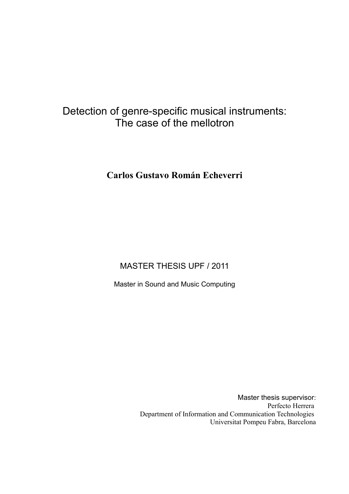## Detection of genre-specific musical instruments: The case of the mellotron

## **Carlos Gustavo Román Echeverri**

MASTER THESIS UPF / 2011

Master in Sound and Music Computing

Master thesis supervisor: Perfecto Herrera Department of Information and Communication Technologies Universitat Pompeu Fabra, Barcelona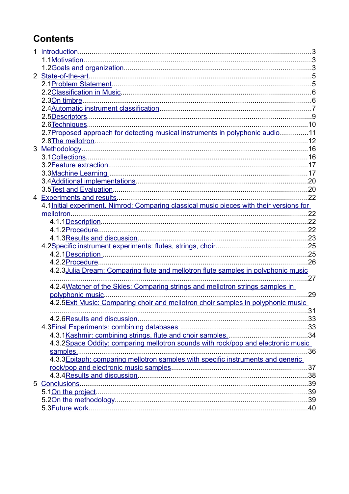## **Contents**

| 2.6Techniques.                                                                           |     |
|------------------------------------------------------------------------------------------|-----|
| 2.7 Proposed approach for detecting musical instruments in polyphonic audio11            |     |
|                                                                                          |     |
|                                                                                          |     |
|                                                                                          |     |
|                                                                                          |     |
|                                                                                          |     |
|                                                                                          |     |
|                                                                                          |     |
|                                                                                          |     |
| 4.1 Initial experiment. Nimrod: Comparing classical music pieces with their versions for |     |
|                                                                                          | .22 |
|                                                                                          |     |
|                                                                                          |     |
|                                                                                          |     |
|                                                                                          |     |
|                                                                                          |     |
| 4.2.2Procedure                                                                           | .26 |
| 4.2.3 Julia Dream: Comparing flute and mellotron flute samples in polyphonic music       |     |
|                                                                                          |     |
| 4.2.4Watcher of the Skies: Comparing strings and mellotron strings samples in            |     |
| polyphonic music.                                                                        | 29  |
| 4.2.5 Exit Music: Comparing choir and mellotron choir samples in polyphonic music        |     |
|                                                                                          |     |
|                                                                                          |     |
|                                                                                          |     |
| 4.3.2Space Oddity: comparing mellotron sounds with rock/pop and electronic music         |     |
|                                                                                          | .36 |
| 4.3.3 Epitaph: comparing mellotron samples with specific instruments and generic         |     |
|                                                                                          |     |
|                                                                                          |     |
|                                                                                          |     |
|                                                                                          |     |
|                                                                                          |     |
|                                                                                          |     |
|                                                                                          |     |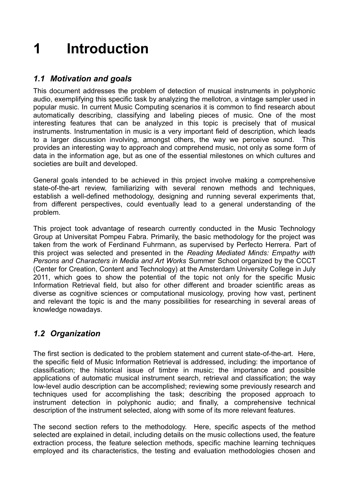# <span id="page-2-2"></span>**1 Introduction**

## <span id="page-2-1"></span>*1.1 Motivation and goals*

This document addresses the problem of detection of musical instruments in polyphonic audio, exemplifying this specific task by analyzing the mellotron, a vintage sampler used in popular music. In current Music Computing scenarios it is common to find research about automatically describing, classifying and labeling pieces of music. One of the most interesting features that can be analyzed in this topic is precisely that of musical instruments. Instrumentation in music is a very important field of description, which leads to a larger discussion involving, amongst others, the way we perceive sound. This provides an interesting way to approach and comprehend music, not only as some form of data in the information age, but as one of the essential milestones on which cultures and societies are built and developed.

General goals intended to be achieved in this project involve making a comprehensive state-of-the-art review, familiarizing with several renown methods and techniques, establish a well-defined methodology, designing and running several experiments that, from different perspectives, could eventually lead to a general understanding of the problem.

This project took advantage of research currently conducted in the Music Technology Group at Universitat Pompeu Fabra. Primarily, the basic methodology for the project was taken from the work of Ferdinand Fuhrmann, as supervised by Perfecto Herrera. Part of this project was selected and presented in the *Reading Mediated Minds: Empathy with Persons and Characters in Media and Art Works* Summer School organized by the CCCT (Center for Creation, Content and Technology) at the Amsterdam University College in July 2011, which goes to show the potential of the topic not only for the specific Music Information Retrieval field, but also for other different and broader scientific areas as diverse as cognitive sciences or computational musicology, proving how vast, pertinent and relevant the topic is and the many possibilities for researching in several areas of knowledge nowadays.

## <span id="page-2-0"></span>*1.2 Organization*

The first section is dedicated to the problem statement and current state-of-the-art. Here, the specific field of Music Information Retrieval is addressed, including: the importance of classification; the historical issue of timbre in music; the importance and possible applications of automatic musical instrument search, retrieval and classification; the way low-level audio description can be accomplished; reviewing some previously research and techniques used for accomplishing the task; describing the proposed approach to instrument detection in polyphonic audio; and finally, a comprehensive technical description of the instrument selected, along with some of its more relevant features.

The second section refers to the methodology. Here, specific aspects of the method selected are explained in detail, including details on the music collections used, the feature extraction process, the feature selection methods, specific machine learning techniques employed and its characteristics, the testing and evaluation methodologies chosen and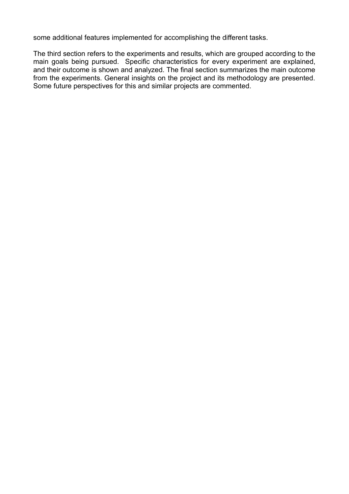some additional features implemented for accomplishing the different tasks.

The third section refers to the experiments and results, which are grouped according to the main goals being pursued. Specific characteristics for every experiment are explained, and their outcome is shown and analyzed. The final section summarizes the main outcome from the experiments. General insights on the project and its methodology are presented. Some future perspectives for this and similar projects are commented.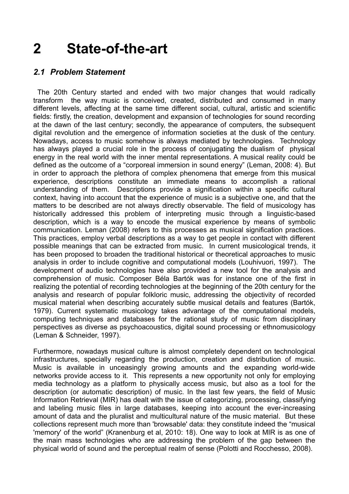## <span id="page-4-1"></span>**2 State-of-the-art**

### <span id="page-4-0"></span>*2.1 Problem Statement*

 The 20th Century started and ended with two major changes that would radically transform the way music is conceived, created, distributed and consumed in many different levels, affecting at the same time different social, cultural, artistic and scientific fields: firstly, the creation, development and expansion of technologies for sound recording at the dawn of the last century; secondly, the appearance of computers, the subsequent digital revolution and the emergence of information societies at the dusk of the century. Nowadays, access to music somehow is always mediated by technologies. Technology has always played a crucial role in the process of conjugating the dualism of physical energy in the real world with the inner mental representations. A musical reality could be defined as the outcome of a "corporeal immersion in sound energy" (Leman, 2008: 4). But in order to approach the plethora of complex phenomena that emerge from this musical experience, descriptions constitute an immediate means to accomplish a rational understanding of them. Descriptions provide a signification within a specific cultural context, having into account that the experience of music is a subjective one, and that the matters to be described are not always directly observable. The field of musicology has historically addressed this problem of interpreting music through a linguistic-based description, which is a way to encode the musical experience by means of symbolic communication. Leman (2008) refers to this processes as musical signification practices. This practices, employ verbal descriptions as a way to get people in contact with different possible meanings that can be extracted from music. In current musicological trends, it has been proposed to broaden the traditional historical or theoretical approaches to music analysis in order to include cognitive and computational models (Louhivuori, 1997). The development of audio technologies have also provided a new tool for the analysis and comprehension of music. Composer Béla Bartók was for instance one of the first in realizing the potential of recording technologies at the beginning of the 20th century for the analysis and research of popular folkloric music, addressing the objectivity of recorded musical material when describing accurately subtle musical details and features (Bartók, 1979). Current systematic musicology takes advantage of the computational models, computing techniques and databases for the rational study of music from disciplinary perspectives as diverse as psychoacoustics, digital sound processing or ethnomusicology (Leman & Schneider, 1997).

Furthermore, nowadays musical culture is almost completely dependent on technological infrastructures, specially regarding the production, creation and distribution of music. Music is available in unceasingly growing amounts and the expanding world-wide networks provide access to it. This represents a new opportunity not only for employing media technology as a platform to physically access music, but also as a tool for the description (or automatic description) of music. In the last few years, the field of Music Information Retrieval (MIR) has dealt with the issue of categorizing, processing, classifying and labeling music files in large databases, keeping into account the ever-increasing amount of data and the pluralist and multicultural nature of the music material. But these collections represent much more than 'browsable' data: they constitute indeed the "musical 'memory' of the world" (Kranenburg et al, 2010: 18). One way to look at MIR is as one of the main mass technologies who are addressing the problem of the gap between the physical world of sound and the perceptual realm of sense (Polotti and Rocchesso, 2008).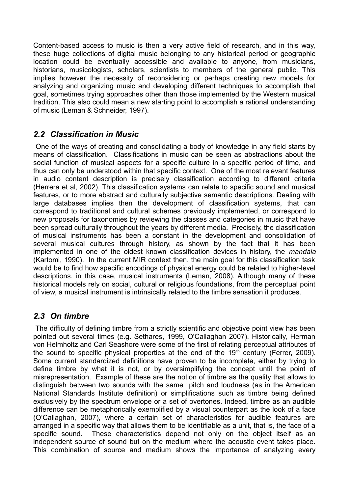Content-based access to music is then a very active field of research, and in this way, these huge collections of digital music belonging to any historical period or geographic location could be eventually accessible and available to anyone, from musicians, historians, musicologists, scholars, scientists to members of the general public. This implies however the necessity of reconsidering or perhaps creating new models for analyzing and organizing music and developing different techniques to accomplish that goal, sometimes trying approaches other than those implemented by the Western musical tradition. This also could mean a new starting point to accomplish a rational understanding of music (Leman & Schneider, 1997).

## <span id="page-5-1"></span>*2.2 Classification in Music*

 One of the ways of creating and consolidating a body of knowledge in any field starts by means of classification. Classifications in music can be seen as abstractions about the social function of musical aspects for a specific culture in a specific period of time, and thus can only be understood within that specific context. One of the most relevant features in audio content description is precisely classification according to different criteria (Herrera et al, 2002). This classification systems can relate to specific sound and musical features, or to more abstract and culturally subjective semantic descriptions. Dealing with large databases implies then the development of classification systems, that can correspond to traditional and cultural schemes previously implemented, or correspond to new proposals for taxonomies by reviewing the classes and categories in music that have been spread culturally throughout the years by different media. Precisely, the classification of musical instruments has been a constant in the development and consolidation of several musical cultures through history, as shown by the fact that it has been implemented in one of the oldest known classification devices in history, the *mandala* (Kartomi, 1990). In the current MIR context then, the main goal for this classification task would be to find how specific encodings of physical energy could be related to higher-level descriptions, in this case, musical instruments (Leman, 2008). Although many of these historical models rely on social, cultural or religious foundations, from the perceptual point of view, a musical instrument is intrinsically related to the timbre sensation it produces.

### <span id="page-5-0"></span>*2.3 On timbre*

 The difficulty of defining timbre from a strictly scientific and objective point view has been pointed out several times (e.g. Sethares, 1999, O'Callaghan 2007). Historically, Herman von Helmholtz and Carl Seashore were some of the first of relating perceptual attributes of the sound to specific physical properties at the end of the  $19<sup>th</sup>$  century (Ferrer, 2009). Some current standardized definitions have proven to be incomplete, either by trying to define timbre by what it is not, or by oversimplifying the concept until the point of misrepresentation. Example of these are the notion of timbre as the quality that allows to distinguish between two sounds with the same pitch and loudness (as in the American National Standards Institute definition) or simplifications such as timbre being defined exclusively by the spectrum envelope or a set of overtones. Indeed, timbre as an audible difference can be metaphorically exemplified by a visual counterpart as the look of a face (O'Callaghan, 2007), where a certain set of characteristics for audible features are arranged in a specific way that allows them to be identifiable as a unit, that is, the face of a specific sound. These characteristics depend not only on the object itself as an independent source of sound but on the medium where the acoustic event takes place. This combination of source and medium shows the importance of analyzing every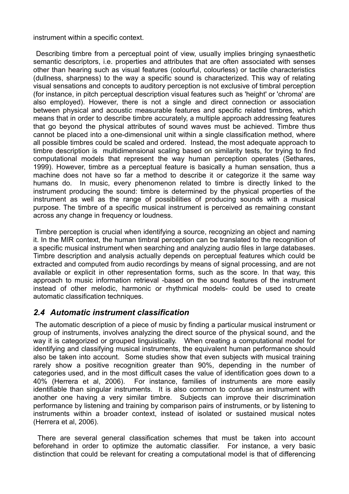instrument within a specific context.

 Describing timbre from a perceptual point of view, usually implies bringing synaesthetic semantic descriptors, i.e. properties and attributes that are often associated with senses other than hearing such as visual features (colourful, colourless) or tactile characteristics (dullness, sharpness) to the way a specific sound is characterized. This way of relating visual sensations and concepts to auditory perception is not exclusive of timbral perception (for instance, in pitch perceptual description visual features such as 'height' or 'chroma' are also employed). However, there is not a single and direct connection or association between physical and acoustic measurable features and specific related timbres, which means that in order to describe timbre accurately, a multiple approach addressing features that go beyond the physical attributes of sound waves must be achieved. Timbre thus cannot be placed into a one-dimensional unit within a single classification method, where all possible timbres could be scaled and ordered. Instead, the most adequate approach to timbre description is multidimensional scaling based on similarity tests, for trying to find computational models that represent the way human perception operates (Sethares, 1999). However, timbre as a perceptual feature is basically a human sensation, thus a machine does not have so far a method to describe it or categorize it the same way humans do. In music, every phenomenon related to timbre is directly linked to the instrument producing the sound: timbre is determined by the physical properties of the instrument as well as the range of possibilities of producing sounds with a musical purpose. The timbre of a specific musical instrument is perceived as remaining constant across any change in frequency or loudness.

 Timbre perception is crucial when identifying a source, recognizing an object and naming it. In the MIR context, the human timbral perception can be translated to the recognition of a specific musical instrument when searching and analyzing audio files in large databases. Timbre description and analysis actually depends on perceptual features which could be extracted and computed from audio recordings by means of signal processing, and are not available or explicit in other representation forms, such as the score. In that way, this approach to music information retrieval -based on the sound features of the instrument instead of other melodic, harmonic or rhythmical models- could be used to create automatic classification techniques.

## <span id="page-6-0"></span>*2.4 Automatic instrument classification*

 The automatic description of a piece of music by finding a particular musical instrument or group of instruments, involves analyzing the direct source of the physical sound, and the way it is categorized or grouped linguistically. When creating a computational model for identifying and classifying musical instruments, the equivalent human performance should also be taken into account. Some studies show that even subjects with musical training rarely show a positive recognition greater than 90%, depending in the number of categories used, and in the most difficult cases the value of identification goes down to a 40% (Herrera et al, 2006). For instance, families of instruments are more easily identifiable than singular instruments. It is also common to confuse an instrument with another one having a very similar timbre. Subjects can improve their discrimination performance by listening and training by comparison pairs of instruments, or by listening to instruments within a broader context, instead of isolated or sustained musical notes (Herrera et al, 2006).

 There are several general classification schemes that must be taken into account beforehand in order to optimize the automatic classifier. For instance, a very basic distinction that could be relevant for creating a computational model is that of differencing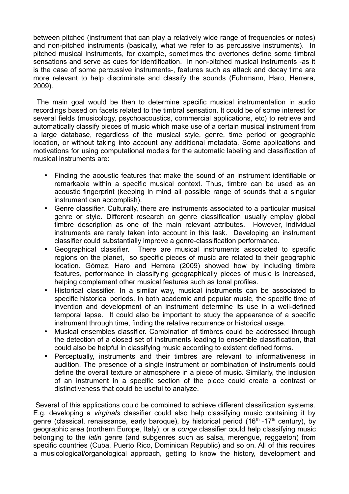between pitched (instrument that can play a relatively wide range of frequencies or notes) and non-pitched instruments (basically, what we refer to as percussive instruments). In pitched musical instruments, for example, sometimes the overtones define some timbral sensations and serve as cues for identification. In non-pitched musical instruments -as it is the case of some percussive instruments-, features such as attack and decay time are more relevant to help discriminate and classify the sounds (Fuhrmann, Haro, Herrera, 2009).

 The main goal would be then to determine specific musical instrumentation in audio recordings based on facets related to the timbral sensation. It could be of some interest for several fields (musicology, psychoacoustics, commercial applications, etc) to retrieve and automatically classify pieces of music which make use of a certain musical instrument from a large database, regardless of the musical style, genre, time period or geographic location, or without taking into account any additional metadata. Some applications and motivations for using computational models for the automatic labeling and classification of musical instruments are:

- Finding the acoustic features that make the sound of an instrument identifiable or remarkable within a specific musical context. Thus, timbre can be used as an acoustic fingerprint (keeping in mind all possible range of sounds that a singular instrument can accomplish).
- Genre classifier. Culturally, there are instruments associated to a particular musical genre or style. Different research on genre classification usually employ global timbre description as one of the main relevant attributes. However, individual instruments are rarely taken into account in this task. Developing an instrument classifier could substantially improve a genre-classification performance.
- Geographical classifier. There are musical instruments associated to specific regions on the planet, so specific pieces of music are related to their geographic location. Gómez, Haro and Herrera (2009) showed how by including timbre features, performance in classifying geographically pieces of music is increased, helping complement other musical features such as tonal profiles.
- Historical classifier. In a similar way, musical instruments can be associated to specific historical periods. In both academic and popular music, the specific time of invention and development of an instrument determine its use in a well-defined temporal lapse. It could also be important to study the appearance of a specific instrument through time, finding the relative recurrence or historical usage.
- Musical ensembles classifier. Combination of timbres could be addressed through the detection of a closed set of instruments leading to ensemble classification, that could also be helpful in classifying music according to existent defined forms.
- Perceptually, instruments and their timbres are relevant to informativeness in audition. The presence of a single instrument or combination of instruments could define the overall texture or atmosphere in a piece of music. Similarly, the inclusion of an instrument in a specific section of the piece could create a contrast or distinctiveness that could be useful to analyze.

 Several of this applications could be combined to achieve different classification systems. E.g. developing a *virginals* classifier could also help classifying music containing it by genre (classical, renaissance, early baroque), by historical period (16<sup>th</sup> -17<sup>th</sup> century), by geographic area (northern Europe, Italy); or a *conga* classifier could help classifying music belonging to the *latin* genre (and subgenres such as salsa, merengue, reggaeton) from specific countries (Cuba, Puerto Rico, Dominican Republic) and so on. All of this requires a musicological/organological approach, getting to know the history, development and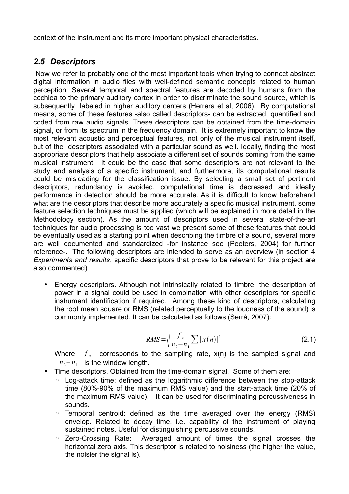context of the instrument and its more important physical characteristics.

## <span id="page-8-0"></span>*2.5 Descriptors*

 Now we refer to probably one of the most important tools when trying to connect abstract digital information in audio files with well-defined semantic concepts related to human perception. Several temporal and spectral features are decoded by humans from the cochlea to the primary auditory cortex in order to discriminate the sound source, which is subsequently labeled in higher auditory centers (Herrera et al, 2006). By computational means, some of these features -also called descriptors- can be extracted, quantified and coded from raw audio signals. These descriptors can be obtained from the time-domain signal, or from its spectrum in the frequency domain. It is extremely important to know the most relevant acoustic and perceptual features, not only of the musical instrument itself, but of the descriptors associated with a particular sound as well. Ideally, finding the most appropriate descriptors that help associate a different set of sounds coming from the same musical instrument. It could be the case that some descriptors are not relevant to the study and analysis of a specific instrument, and furthermore, its computational results could be misleading for the classification issue. By selecting a small set of pertinent descriptors, redundancy is avoided, computational time is decreased and ideally performance in detection should be more accurate. As it is difficult to know beforehand what are the descriptors that describe more accurately a specific musical instrument, some feature selection techniques must be applied (which will be explained in more detail in the Methodology section). As the amount of descriptors used in several state-of-the-art techniques for audio processing is too vast we present some of these features that could be eventually used as a starting point when describing the timbre of a sound, several more are well documented and standardized -for instance see (Peeters, 2004) for further reference-. The following descriptors are intended to serve as an overview (in section 4 *Experiments and results*, specific descriptors that prove to be relevant for this project are also commented)

• Energy descriptors. Although not intrinsically related to timbre, the description of power in a signal could be used in combination with other descriptors for specific instrument identification if required. Among these kind of descriptors, calculating the root mean square or RMS (related perceptually to the loudness of the sound) is commonly implemented. It can be calculated as follows (Serrà, 2007):

$$
RMS = \sqrt{\frac{f_s}{n_2 - n_1} \sum [x(n)]^2}
$$
 (2.1)

**Where**  $f_s$  corresponds to the sampling rate,  $x(n)$  is the sampled signal and  $n_2 - n_1$  is the window length.

- Time descriptors. Obtained from the time-domain signal. Some of them are:
	- Log-attack time: defined as the logarithmic difference between the stop-attack time (80%-90% of the maximum RMS value) and the start-attack time (20% of the maximum RMS value). It can be used for discriminating percussiveness in sounds.
	- Temporal centroid: defined as the time averaged over the energy (RMS) envelop. Related to decay time, i.e. capability of the instrument of playing sustained notes. Useful for distinguishing percussive sounds.
	- Zero-Crossing Rate: Averaged amount of times the signal crosses the horizontal zero axis. This descriptor is related to noisiness (the higher the value, the noisier the signal is).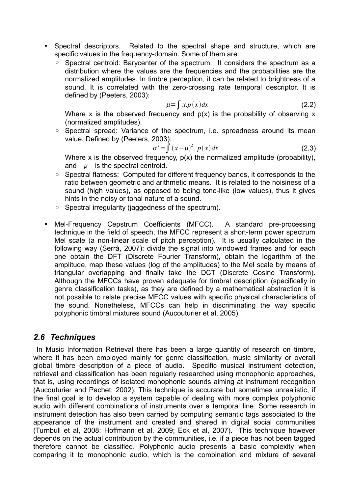- Spectral descriptors. Related to the spectral shape and structure, which are specific values in the frequency-domain. Some of them are:
	- Spectral centroid: Barycenter of the spectrum. It considers the spectrum as a distribution where the values are the frequencies and the probabilities are the normalized amplitudes. In timbre perception, it can be related to brightness of a sound. It is correlated with the zero-crossing rate temporal descriptor. It is defined by (Peeters, 2003):

$$
\mu = \int x \cdot p(x) \, dx \tag{2.2}
$$

Where x is the observed frequency and  $p(x)$  is the probability of observing x (normalized amplitudes).

◦ Spectral spread: Variance of the spectrum, i.e. spreadness around its mean value. Defined by (Peeters, 2003):

$$
\sigma^2 = \int (x - \mu)^2 \cdot p(x) dx
$$
 (2.3)

Where x is the observed frequency,  $p(x)$  the normalized amplitude (probability), and  $\mu$  is the spectral centroid.

- Spectral flatness: Computed for different frequency bands, it corresponds to the ratio between geometric and arithmetic means. It is related to the noisiness of a sound (high values), as opposed to being tone-like (low values), thus it gives hints in the noisy or tonal nature of a sound.
- Spectral irregularity (jaggedness of the spectrum).
- Mel-Frequency Cepstrum Coefficients (MFCC). A standard pre-processing technique in the field of speech, the MFCC represent a short-term power spectrum Mel scale (a non-linear scale of pitch perception). It is usually calculated in the following way (Serrà, 2007): divide the signal into windowed frames and for each one obtain the DFT (Discrete Fourier Transform), obtain the logarithm of the amplitude, map these values (log of the amplitudes) to the Mel scale by means of triangular overlapping and finally take the DCT (Discrete Cosine Transform). Although the MFCCs have proven adequate for timbral description (specifically in genre classification tasks), as they are defined by a mathematical abstraction it is not possible to relate precise MFCC values with specific physical characteristics of the sound. Nonetheless, MFCCs can help in discriminating the way specific polyphonic timbral mixtures sound (Aucouturier et al, 2005).

### <span id="page-9-0"></span>*2.6 Techniques*

 In Music Information Retrieval there has been a large quantity of research on timbre, where it has been employed mainly for genre classification, music similarity or overall global timbre description of a piece of audio. Specific musical instrument detection, retrieval and classification has been regularly researched using monophonic approaches, that is, using recordings of isolated monophonic sounds aiming at instrument recognition (Aucouturier and Pachet, 2002). This technique is accurate but sometimes unrealistic, if the final goal is to develop a system capable of dealing with more complex polyphonic audio with different combinations of instruments over a temporal line. Some research in instrument detection has also been carried by computing semantic tags associated to the appearance of the instrument and created and shared in digital social communities (Turnbull et al, 2008; Hoffmann et al, 2009; Eck et al, 2007). This technique however depends on the actual contribution by the communities, i.e. if a piece has not been tagged therefore cannot be classified. Polyphonic audio presents a basic complexity when comparing it to monophonic audio, which is the combination and mixture of several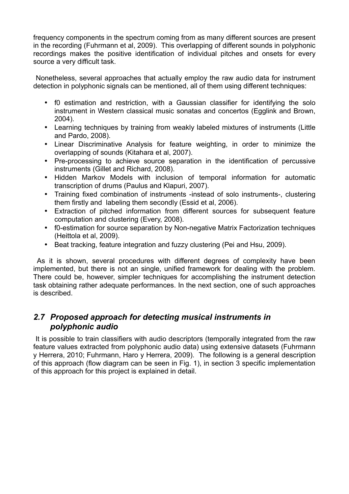frequency components in the spectrum coming from as many different sources are present in the recording (Fuhrmann et al, 2009). This overlapping of different sounds in polyphonic recordings makes the positive identification of individual pitches and onsets for every source a very difficult task.

 Nonetheless, several approaches that actually employ the raw audio data for instrument detection in polyphonic signals can be mentioned, all of them using different techniques:

- f0 estimation and restriction, with a Gaussian classifier for identifying the solo instrument in Western classical music sonatas and concertos (Egglink and Brown, 2004).
- Learning techniques by training from weakly labeled mixtures of instruments (Little and Pardo, 2008).
- Linear Discriminative Analysis for feature weighting, in order to minimize the overlapping of sounds (Kitahara et al, 2007).
- Pre-processing to achieve source separation in the identification of percussive instruments (Gillet and Richard, 2008).
- Hidden Markov Models with inclusion of temporal information for automatic transcription of drums (Paulus and Klapuri, 2007).
- Training fixed combination of instruments -instead of solo instruments-, clustering them firstly and labeling them secondly (Essid et al, 2006).
- Extraction of pitched information from different sources for subsequent feature computation and clustering (Every, 2008).
- f0-estimation for source separation by Non-negative Matrix Factorization techniques (Heittola et al, 2009).
- Beat tracking, feature integration and fuzzy clustering (Pei and Hsu, 2009).

 As it is shown, several procedures with different degrees of complexity have been implemented, but there is not an single, unified framework for dealing with the problem. There could be, however, simpler techniques for accomplishing the instrument detection task obtaining rather adequate performances. In the next section, one of such approaches is described.

## <span id="page-10-0"></span>*2.7 Proposed approach for detecting musical instruments in polyphonic audio*

 It is possible to train classifiers with audio descriptors (temporally integrated from the raw feature values extracted from polyphonic audio data) using extensive datasets (Fuhrmann y Herrera, 2010; Fuhrmann, Haro y Herrera, 2009). The following is a general description of this approach (flow diagram can be seen in Fig. 1), in section 3 specific implementation of this approach for this project is explained in detail.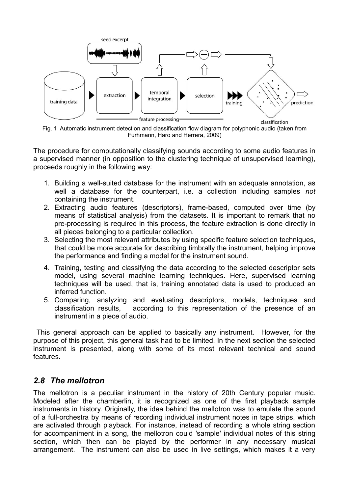

Fig. 1 Automatic instrument detection and classification flow diagram for polyphonic audio (taken from Furhmann, Haro and Herrera, 2009)

The procedure for computationally classifying sounds according to some audio features in a supervised manner (in opposition to the clustering technique of unsupervised learning), proceeds roughly in the following way:

- 1. Building a well-suited database for the instrument with an adequate annotation, as well a database for the counterpart, i.e. a collection including samples *not* containing the instrument.
- 2. Extracting audio features (descriptors), frame-based, computed over time (by means of statistical analysis) from the datasets. It is important to remark that no pre-processing is required in this process, the feature extraction is done directly in all pieces belonging to a particular collection.
- 3. Selecting the most relevant attributes by using specific feature selection techniques, that could be more accurate for describing timbrally the instrument, helping improve the performance and finding a model for the instrument sound.
- 4. Training, testing and classifying the data according to the selected descriptor sets model, using several machine learning techniques. Here, supervised learning techniques will be used, that is, training annotated data is used to produced an inferred function.
- 5. Comparing, analyzing and evaluating descriptors, models, techniques and classification results, according to this representation of the presence of an instrument in a piece of audio.

 This general approach can be applied to basically any instrument. However, for the purpose of this project, this general task had to be limited. In the next section the selected instrument is presented, along with some of its most relevant technical and sound features.

## <span id="page-11-0"></span>*2.8 The mellotron*

The mellotron is a peculiar instrument in the history of 20th Century popular music. Modeled after the chamberlin, it is recognized as one of the first playback sample instruments in history. Originally, the idea behind the mellotron was to emulate the sound of a full-orchestra by means of recording individual instrument notes in tape strips, which are activated through playback. For instance, instead of recording a whole string section for accompaniment in a song, the mellotron could 'sample' individual notes of this string section, which then can be played by the performer in any necessary musical arrangement. The instrument can also be used in live settings, which makes it a very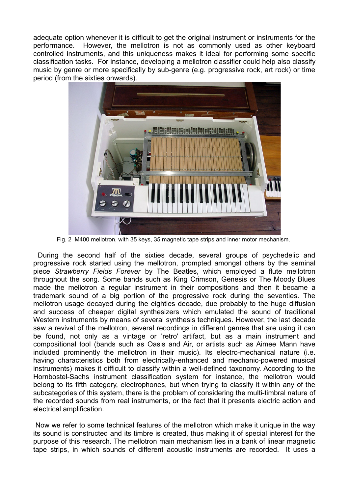adequate option whenever it is difficult to get the original instrument or instruments for the performance. However, the mellotron is not as commonly used as other keyboard controlled instruments, and this uniqueness makes it ideal for performing some specific classification tasks. For instance, developing a mellotron classifier could help also classify music by genre or more specifically by sub-genre (e.g. progressive rock, art rock) or time period (from the sixties onwards).



Fig. 2 M400 mellotron, with 35 keys, 35 magnetic tape strips and inner motor mechanism.

 During the second half of the sixties decade, several groups of psychedelic and progressive rock started using the mellotron, prompted amongst others by the seminal piece *Strawberry Fields Forever* by The Beatles, which employed a flute mellotron throughout the song. Some bands such as King Crimson, Genesis or The Moody Blues made the mellotron a regular instrument in their compositions and then it became a trademark sound of a big portion of the progressive rock during the seventies. The mellotron usage decayed during the eighties decade, due probably to the huge diffusion and success of cheaper digital synthesizers which emulated the sound of traditional Western instruments by means of several synthesis techniques. However, the last decade saw a revival of the mellotron, several recordings in different genres that are using it can be found, not only as a vintage or 'retro' artifact, but as a main instrument and compositional tool (bands such as Oasis and Air, or artists such as Aimee Mann have included prominently the mellotron in their music). Its electro-mechanical nature (i.e. having characteristics both from electrically-enhanced and mechanic-powered musical instruments) makes it difficult to classify within a well-defined taxonomy. According to the Hornbostel-Sachs instrument classification system for instance, the mellotron would belong to its fifth category, electrophones, but when trying to classify it within any of the subcategories of this system, there is the problem of considering the multi-timbral nature of the recorded sounds from real instruments, or the fact that it presents electric action and electrical amplification.

 Now we refer to some technical features of the mellotron which make it unique in the way its sound is constructed and its timbre is created, thus making it of special interest for the purpose of this research. The mellotron main mechanism lies in a bank of linear magnetic tape strips, in which sounds of different acoustic instruments are recorded. It uses a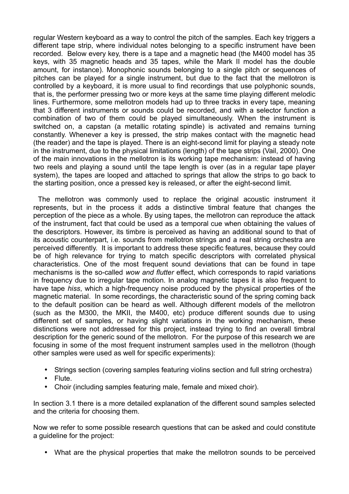regular Western keyboard as a way to control the pitch of the samples. Each key triggers a different tape strip, where individual notes belonging to a specific instrument have been recorded. Below every key, there is a tape and a magnetic head (the M400 model has 35 keys, with 35 magnetic heads and 35 tapes, while the Mark II model has the double amount, for instance). Monophonic sounds belonging to a single pitch or sequences of pitches can be played for a single instrument, but due to the fact that the mellotron is controlled by a keyboard, it is more usual to find recordings that use polyphonic sounds, that is, the performer pressing two or more keys at the same time playing different melodic lines. Furthermore, some mellotron models had up to three tracks in every tape, meaning that 3 different instruments or sounds could be recorded, and with a selector function a combination of two of them could be played simultaneously. When the instrument is switched on, a capstan (a metallic rotating spindle) is activated and remains turning constantly. Whenever a key is pressed, the strip makes contact with the magnetic head (the reader) and the tape is played. There is an eight-second limit for playing a steady note in the instrument, due to the physical limitations (length) of the tape strips (Vail, 2000). One of the main innovations in the mellotron is its working tape mechanism: instead of having two reels and playing a sound until the tape length is over (as in a regular tape player system), the tapes are looped and attached to springs that allow the strips to go back to the starting position, once a pressed key is released, or after the eight-second limit.

 The mellotron was commonly used to replace the original acoustic instrument it represents, but in the process it adds a distinctive timbral feature that changes the perception of the piece as a whole. By using tapes, the mellotron can reproduce the attack of the instrument, fact that could be used as a temporal cue when obtaining the values of the descriptors. However, its timbre is perceived as having an additional sound to that of its acoustic counterpart, i.e. sounds from mellotron strings and a real string orchestra are perceived differently. It is important to address these specific features, because they could be of high relevance for trying to match specific descriptors with correlated physical characteristics. One of the most frequent sound deviations that can be found in tape mechanisms is the so-called *wow and flutter* effect, which corresponds to rapid variations in frequency due to irregular tape motion. In analog magnetic tapes it is also frequent to have tape *hiss*, which a high-frequency noise produced by the physical properties of the magnetic material. In some recordings, the characteristic sound of the spring coming back to the default position can be heard as well. Although different models of the mellotron (such as the M300, the MKII, the M400, etc) produce different sounds due to using different set of samples, or having slight variations in the working mechanism, these distinctions were not addressed for this project, instead trying to find an overall timbral description for the generic sound of the mellotron. For the purpose of this research we are focusing in some of the most frequent instrument samples used in the mellotron (though other samples were used as well for specific experiments):

- Strings section (covering samples featuring violins section and full string orchestra)
- Flute.
- Choir (including samples featuring male, female and mixed choir).

In section 3.1 there is a more detailed explanation of the different sound samples selected and the criteria for choosing them.

Now we refer to some possible research questions that can be asked and could constitute a guideline for the project:

• What are the physical properties that make the mellotron sounds to be perceived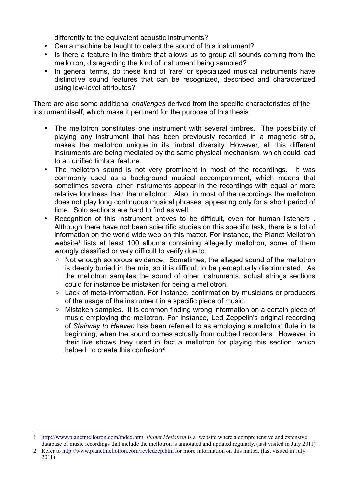differently to the equivalent acoustic instruments?

- Can a machine be taught to detect the sound of this instrument?
- Is there a feature in the timbre that allows us to group all sounds coming from the mellotron, disregarding the kind of instrument being sampled?
- In general terms, do these kind of 'rare' or specialized musical instruments have distinctive sound features that can be recognized, described and characterized using low-level attributes?

There are also some additional *challenges* derived from the specific characteristics of the instrument itself, which make it pertinent for the purpose of this thesis:

- The mellotron constitutes one instrument with several timbres. The possibility of playing any instrument that has been previously recorded in a magnetic strip, makes the mellotron unique in its timbral diversity. However, all this different instruments are being mediated by the same physical mechanism, which could lead to an unified timbral feature.
- The mellotron sound is not very prominent in most of the recordings. It was commonly used as a background musical accompaniment, which means that sometimes several other instruments appear in the recordings with equal or more relative loudness than the mellotron. Also, in most of the recordings the mellotron does not play long continuous musical phrases, appearing only for a short period of time. Solo sections are hard to find as well.
- Recognition of this instrument proves to be difficult, even for human listeners . Although there have not been scientific studies on this specific task, there is a lot of information on the world wide web on this matter. For instance, the Planet Mellotron website<sup>[1](#page-14-0)</sup> lists at least 100 albums containing allegedly mellotron, some of them wrongly classified or very difficult to verify due to:
	- Not enough sonorous evidence. Sometimes, the alleged sound of the mellotron is deeply buried in the mix, so it is difficult to be perceptually discriminated. As the mellotron samples the sound of other instruments, actual strings sections could for instance be mistaken for being a mellotron.
	- Lack of meta-information. For instance, confirmation by musicians or producers of the usage of the instrument in a specific piece of music.
	- Mistaken samples. It is common finding wrong information on a certain piece of music employing the mellotron. For instance, Led Zeppelin's original recording of *Stairway to Heaven* has been referred to as employing a mellotron flute in its beginning, when the sound comes actually from dubbed recorders. However, in their live shows they used in fact a mellotron for playing this section, which helped to create this confusion<sup>[2](#page-14-1)</sup>.

<span id="page-14-0"></span><sup>1</sup><http://www.planetmellotron.com/index.htm>*Planet Mellotron* is a website where a comprehensive and extensive database of music recordings that include the mellotron is annotated and updated regularly. (last visited in July 2011)

<span id="page-14-1"></span><sup>2</sup> Refer to<http://www.planetmellotron.com/revledzep.htm>for more information on this matter. (last visited in July 2011)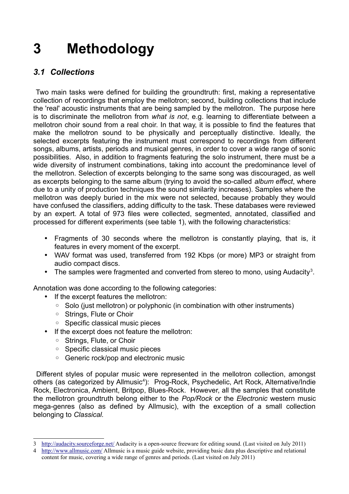# <span id="page-15-1"></span>**3 Methodology**

## <span id="page-15-0"></span>*3.1 Collections*

 Two main tasks were defined for building the groundtruth: first, making a representative collection of recordings that employ the mellotron; second, building collections that include the 'real' acoustic instruments that are being sampled by the mellotron. The purpose here is to discriminate the mellotron from *what is not*, e.g. learning to differentiate between a mellotron choir sound from a real choir. In that way, it is possible to find the features that make the mellotron sound to be physically and perceptually distinctive. Ideally, the selected excerpts featuring the instrument must correspond to recordings from different songs, albums, artists, periods and musical genres, in order to cover a wide range of sonic possibilities. Also, in addition to fragments featuring the solo instrument, there must be a wide diversity of instrument combinations, taking into account the predominance level of the mellotron. Selection of excerpts belonging to the same song was discouraged, as well as excerpts belonging to the same album (trying to avoid the so-called *album effect*, where due to a unity of production techniques the sound similarity increases). Samples where the mellotron was deeply buried in the mix were not selected, because probably they would have confused the classifiers, adding difficulty to the task. These databases were reviewed by an expert. A total of 973 files were collected, segmented, annotated, classified and processed for different experiments (see table 1), with the following characteristics:

- Fragments of 30 seconds where the mellotron is constantly playing, that is, it features in every moment of the excerpt.
- WAV format was used, transferred from 192 Kbps (or more) MP3 or straight from audio compact discs.
- The samples were fragmented and converted from stereo to mono, using Audacity<sup>[3](#page-15-2)</sup>.

Annotation was done according to the following categories:

- If the excerpt features the mellotron:
	- Solo (just mellotron) or polyphonic (in combination with other instruments)
	- Strings, Flute or Choir
	- Specific classical music pieces
- If the excerpt does not feature the mellotron:
	- Strings, Flute, or Choir
	- Specific classical music pieces
	- Generic rock/pop and electronic music

 Different styles of popular music were represented in the mellotron collection, amongst others (as categorized by Allmusic<sup>[4](#page-15-3)</sup>): Prog-Rock, Psychedelic, Art Rock, Alternative/Indie Rock, Electronica, Ambient, Britpop, Blues-Rock. However, all the samples that constitute the mellotron groundtruth belong either to the *Pop/Rock* or the *Electronic* western music mega-genres (also as defined by Allmusic), with the exception of a small collection belonging to *Classical.*

<span id="page-15-2"></span><sup>3</sup><http://audacity.sourceforge.net/>Audacity is a open-source freeware for editing sound. (Last visited on July 2011)

<span id="page-15-3"></span><sup>4</sup> <http://www.allmusic.com/>Allmusic is a music guide website, providing basic data plus descriptive and relational content for music, covering a wide range of genres and periods. (Last visited on July 2011)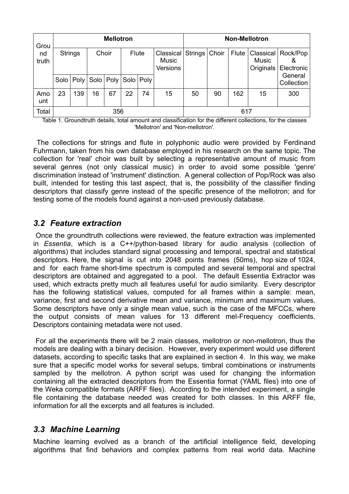| Grou        | <b>Mellotron</b> |                         |    |             |              |             |                                              | <b>Non-Mellotron</b> |    |       |                                 |                             |
|-------------|------------------|-------------------------|----|-------------|--------------|-------------|----------------------------------------------|----------------------|----|-------|---------------------------------|-----------------------------|
| nd<br>truth |                  | <b>Strings</b><br>Choir |    |             | <b>Flute</b> |             | <b>Classical</b><br><b>Music</b><br>Versions | Strings   Choir      |    | Flute | Classical<br>Music<br>Originals | Rock/Pop<br>&<br>Electronic |
|             | Solo             | Poly                    |    | Solo   Poly |              | Solo   Poly |                                              |                      |    |       |                                 | General<br>Collection       |
| Amo<br>unt  | 23               | 139                     | 16 | 67          | 22           | 74          | 15                                           | 50                   | 90 | 162   | 15                              | 300                         |
| Total       |                  |                         |    | 356         |              |             |                                              | 617                  |    |       |                                 |                             |

Table 1. Groundtruth details, total amount and classification for the different collections, for the classes 'Mellotron' and 'Non-mellotron'.

 The collections for strings and flute in polyphonic audio were provided by Ferdinand Fuhrmann, taken from his own database employed in his research on the same topic. The collection for 'real' choir was built by selecting a representative amount of music from several genres (not only classical music) in order to avoid some possible 'genre' discrimination instead of 'instrument' distinction. A general collection of Pop/Rock was also built, intended for testing this last aspect, that is, the possibility of the classifier finding descriptors that classify genre instead of the specific presence of the mellotron; and for testing some of the models found against a non-used previously database.

## <span id="page-16-1"></span>*3.2 Feature extraction*

 Once the groundtruth collections were reviewed, the feature extraction was implemented in *Essentia*, which is a C++/python-based library for audio analysis (collection of algorithms) that includes standard signal processing and temporal, spectral and statistical descriptors. Here, the signal is cut into 2048 points frames (50ms), hop size of 1024, and for each frame short-time spectrum is computed and several temporal and spectral descriptors are obtained and aggregated to a pool. The default Essentia Extractor was used, which extracts pretty much all features useful for audio similarity. Every descriptor has the following statistical values, computed for all frames within a sample: mean, variance, first and second derivative mean and variance, minimum and maximum values. Some descriptors have only a single mean value, such is the case of the MFCCs, where the output consists of mean values for 13 different mel-Frequency coefficients. Descriptors containing metadata were not used.

 For all the experiments there will be 2 main classes, mellotron or non-mellotron, thus the models are dealing with a binary decision. However, every experiment would use different datasets, according to specific tasks that are explained in section 4. In this way, we make sure that a specific model works for several setups, timbral combinations or instruments sampled by the mellotron. A python script was used for changing the information containing all the extracted descriptors from the Essentia format (YAML files) into one of the Weka compatible formats (ARFF files). According to the intended experiment, a single file containing the database needed was created for both classes. In this ARFF file, information for all the excerpts and all features is included.

## <span id="page-16-0"></span>*3.3 Machine Learning*

Machine learning evolved as a branch of the artificial intelligence field, developing algorithms that find behaviors and complex patterns from real world data. Machine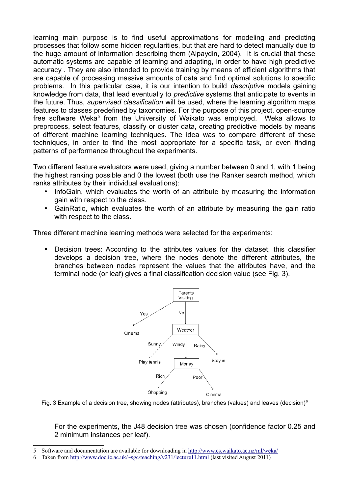learning main purpose is to find useful approximations for modeling and predicting processes that follow some hidden regularities, but that are hard to detect manually due to the huge amount of information describing them (Alpaydin, 2004). It is crucial that these automatic systems are capable of learning and adapting, in order to have high predictive accuracy . They are also intended to provide training by means of efficient algorithms that are capable of processing massive amounts of data and find optimal solutions to specific problems. In this particular case, it is our intention to build *descriptive* models gaining knowledge from data, that lead eventually to *predictive* systems that anticipate to events in the future. Thus, *supervised classification* will be used, where the learning algorithm maps features to classes predefined by taxonomies. For the purpose of this project, open-source free software Weka<sup>[5](#page-17-0)</sup> from the University of Waikato was employed. Weka allows to preprocess, select features, classify or cluster data, creating predictive models by means of different machine learning techniques. The idea was to compare different of these techniques, in order to find the most appropriate for a specific task, or even finding patterns of performance throughout the experiments.

Two different feature evaluators were used, giving a number between 0 and 1, with 1 being the highest ranking possible and 0 the lowest (both use the Ranker search method, which ranks attributes by their individual evaluations):

- InfoGain, which evaluates the worth of an attribute by measuring the information gain with respect to the class.
- GainRatio, which evaluates the worth of an attribute by measuring the gain ratio with respect to the class.

Three different machine learning methods were selected for the experiments:

• Decision trees: According to the attributes values for the dataset, this classifier develops a decision tree, where the nodes denote the different attributes, the branches between nodes represent the values that the attributes have, and the terminal node (or leaf) gives a final classification decision value (see Fig. 3).



Fig. 3 Example of a decision tree, showing nodes (attributes), branches (values) and leaves (decision)<sup>[6](#page-17-1)</sup>

For the experiments, the J48 decision tree was chosen (confidence factor 0.25 and 2 minimum instances per leaf).

<span id="page-17-0"></span><sup>5</sup> Software and documentation are available for downloading in<http://www.cs.waikato.ac.nz/ml/weka/>

<span id="page-17-1"></span><sup>6</sup> Taken from<http://www.doc.ic.ac.uk/~sgc/teaching/v231/lecture11.html>(last visited August 2011)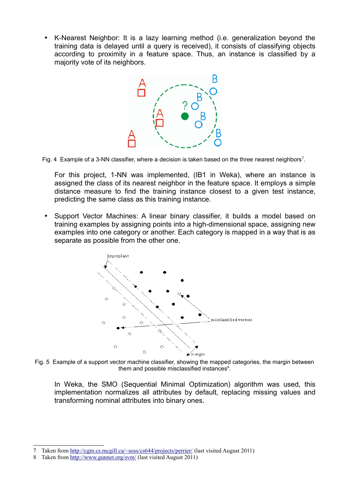• K-Nearest Neighbor: It is a lazy learning method (i.e. generalization beyond the training data is delayed until a query is received), it consists of classifying objects according to proximity in a feature space. Thus, an instance is classified by a majority vote of its neighbors.



Fig. 4 Example of a 3-NN classifier, where a decision is taken based on the three nearest neighbors<sup>[7](#page-18-0)</sup>.

For this project, 1-NN was implemented, (IB1 in Weka), where an instance is assigned the class of its nearest neighbor in the feature space. It employs a simple distance measure to find the training instance closest to a given test instance, predicting the same class as this training instance.

• Support Vector Machines: A linear binary classifier, it builds a model based on training examples by assigning points into a high-dimensional space, assigning new examples into one category or another. Each category is mapped in a way that is as separate as possible from the other one.



Fig. 5 Example of a support vector machine classifier, showing the mapped categories, the margin between them and possible misclassified instances $8$ .

In Weka, the SMO (Sequential Minimal Optimization) algorithm was used, this implementation normalizes all attributes by default, replacing missing values and transforming nominal attributes into binary ones.

<span id="page-18-0"></span><sup>7</sup> Taken from<http://cgm.cs.mcgill.ca/~soss/cs644/projects/perrier/>(last visited August 2011)

<span id="page-18-1"></span><sup>8</sup> Taken from<http://www.gunnet.org/svm/>(last visited August 2011)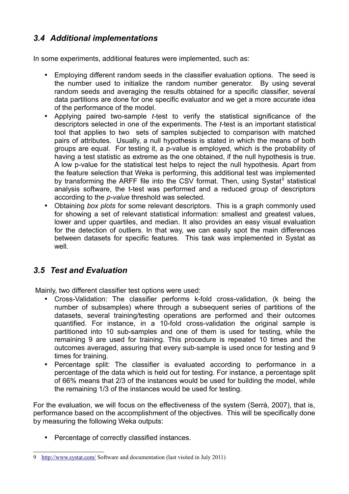## <span id="page-19-1"></span>*3.4 Additional implementations*

In some experiments, additional features were implemented, such as:

- Employing different random seeds in the classifier evaluation options. The seed is the number used to initialize the random number generator. By using several random seeds and averaging the results obtained for a specific classifier, several data partitions are done for one specific evaluator and we get a more accurate idea of the performance of the model.
- Applying paired two-sample *t-*test to verify the statistical significance of the descriptors selected in one of the experiments. The *t*-test is an important statistical tool that applies to two sets of samples subjected to comparison with matched pairs of attributes. Usually, a null hypothesis is stated in which the means of both groups are equal. For testing it, a p-value is employed, which is the probability of having a test statistic as extreme as the one obtained, if the null hypothesis is true. A low p-value for the statistical test helps to reject the null hypothesis. Apart from the feature selection that Weka is performing, this additional test was implemented by transforming the ARFF file into the CSV format. Then, using Systat<sup>[9](#page-19-2)</sup> statistical analysis software, the t-test was performed and a reduced group of descriptors according to the *p-value* threshold was selected.
- Obtaining *box plots* for some relevant descriptors. This is a graph commonly used for showing a set of relevant statistical information: smallest and greatest values, lower and upper quartiles, and median. It also provides an easy visual evaluation for the detection of outliers. In that way, we can easily spot the main differences between datasets for specific features. This task was implemented in Systat as well.

## <span id="page-19-0"></span>*3.5 Test and Evaluation*

Mainly, two different classifier test options were used:

- Cross-Validation: The classifier performs k-fold cross-validation, (k being the number of subsamples) where through a subsequent series of partitions of the datasets, several training/testing operations are performed and their outcomes quantified. For instance, in a 10-fold cross-validation the original sample is partitioned into 10 sub-samples and one of them is used for testing, while the remaining 9 are used for training. This procedure is repeated 10 times and the outcomes averaged, assuring that every sub-sample is used once for testing and 9 times for training.
- Percentage split: The classifier is evaluated according to performance in a percentage of the data which is held out for testing. For instance, a percentage split of 66% means that 2/3 of the instances would be used for building the model, while the remaining 1/3 of the instances would be used for testing.

For the evaluation, we will focus on the effectiveness of the system (Serrà, 2007), that is, performance based on the accomplishment of the objectives. This will be specifically done by measuring the following Weka outputs:

• Percentage of correctly classified instances.

<span id="page-19-2"></span><sup>9</sup><http://www.systat.com/>Software and documentation (last visited in July 2011)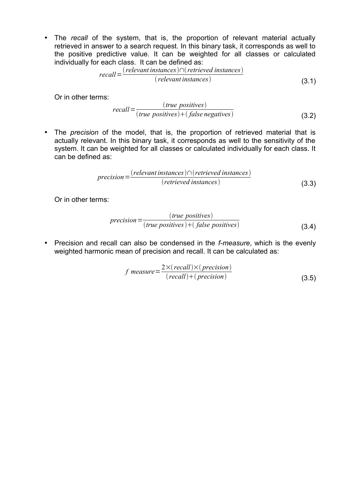• The *recall* of the system, that is, the proportion of relevant material actually retrieved in answer to a search request. In this binary task, it corresponds as well to the positive predictive value. It can be weighted for all classes or calculated individually for each class. It can be defined as:

$$
recall = \frac{(relevant instances) \cap (retrieved instances)}{(relevant instances)}
$$
\n(3.1)

Or in other terms:

$$
recall = \frac{(true \text{ positives})}{(true \text{ positives}) + (false \text{ negatives})}
$$
(3.2)

• The *precision* of the model, that is, the proportion of retrieved material that is actually relevant. In this binary task, it corresponds as well to the sensitivity of the system. It can be weighted for all classes or calculated individually for each class. It can be defined as:

$$
precision = \frac{(relevant instances) \cap (retrieved instances)}{(retrieved instances)}
$$
\n(3.3)

Or in other terms:

$$
precision = \frac{(true \text{ positives})}{(true \text{ positives}) + (false \text{ positives})}
$$
\n(3.4)

• Precision and recall can also be condensed in the *f-measure*, which is the evenly weighted harmonic mean of precision and recall. It can be calculated as:

$$
f measure = \frac{2 \times (recall) \times (precision)}{(recall) + (precision)}
$$
\n(3.5)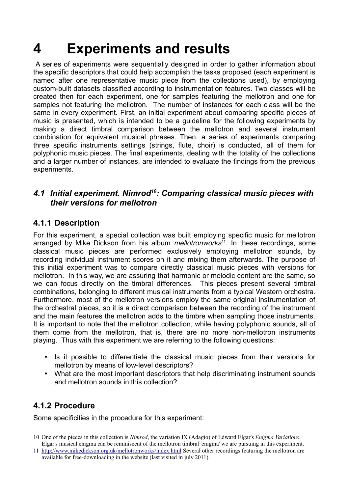## <span id="page-21-3"></span>**4 Experiments and results**

 A series of experiments were sequentially designed in order to gather information about the specific descriptors that could help accomplish the tasks proposed (each experiment is named after one representative music piece from the collections used), by employing custom-built datasets classified according to instrumentation features. Two classes will be created then for each experiment, one for samples featuring the mellotron and one for samples not featuring the mellotron. The number of instances for each class will be the same in every experiment. First, an initial experiment about comparing specific pieces of music is presented, which is intended to be a guideline for the following experiments by making a direct timbral comparison between the mellotron and several instrument combination for equivalent musical phrases. Then, a series of experiments comparing three specific instruments settings (strings, flute, choir) is conducted, all of them for polyphonic music pieces. The final experiments, dealing with the totality of the collections and a larger number of instances, are intended to evaluate the findings from the previous experiments.

## <span id="page-21-2"></span>*4.1 Initial experiment. Nimrod[10](#page-21-4): Comparing classical music pieces with their versions for mellotron*

## <span id="page-21-1"></span>**4.1.1 Description**

For this experiment, a special collection was built employing specific music for mellotron arranged by Mike Dickson from his album *mellotronworks*<sup>[11](#page-21-5)</sup>. In these recordings, some classical music pieces are performed exclusively employing mellotron sounds, by recording individual instrument scores on it and mixing them afterwards. The purpose of this initial experiment was to compare directly classical music pieces with versions for mellotron. In this way, we are assuring that harmonic or melodic content are the same, so we can focus directly on the timbral differences. This pieces present several timbral combinations, belonging to different musical instruments from a typical Western orchestra. Furthermore, most of the mellotron versions employ the same original instrumentation of the orchestral pieces, so it is a direct comparison between the recording of the instrument and the main features the mellotron adds to the timbre when sampling those instruments. It is important to note that the mellotron collection, while having polyphonic sounds, all of them come from the mellotron, that is, there are no more non-mellotron instruments playing. Thus with this experiment we are referring to the following questions:

- Is it possible to differentiate the classical music pieces from their versions for mellotron by means of low-level descriptors?
- What are the most important descriptors that help discriminating instrument sounds and mellotron sounds in this collection?

## <span id="page-21-0"></span>**4.1.2 Procedure**

Some specificities in the procedure for this experiment:

<span id="page-21-4"></span><sup>10</sup> One of the pieces in this collection is *Nimrod*, the variation IX (Adagio) of Edward Elgar's *Enigma Variations*. Elgar's musical enigma can be reminiscent of the mellotron timbral 'enigma' we are pursuing in this experiment.

<span id="page-21-5"></span><sup>11</sup><http://www.mikedickson.org.uk/mellotronworks/index.html>Several other recordings featuring the mellotron are available for free-downloading in the website (last visited in july 2011).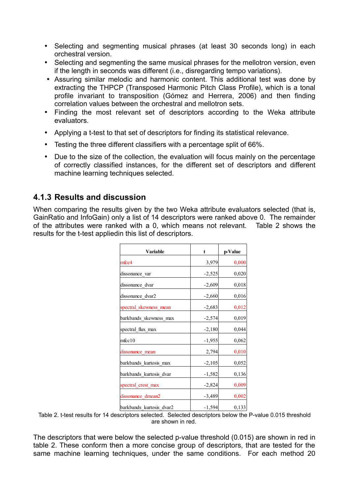- Selecting and segmenting musical phrases (at least 30 seconds long) in each orchestral version.
- Selecting and segmenting the same musical phrases for the mellotron version, even if the length in seconds was different (i.e., disregarding tempo variations).
- Assuring similar melodic and harmonic content. This additional test was done by extracting the THPCP (Transposed Harmonic Pitch Class Profile), which is a tonal profile invariant to transposition (Gómez and Herrera, 2006) and then finding correlation values between the orchestral and mellotron sets.
- Finding the most relevant set of descriptors according to the Weka attribute evaluators.
- Applying a t-test to that set of descriptors for finding its statistical relevance.
- Testing the three different classifiers with a percentage split of 66%.
- Due to the size of the collection, the evaluation will focus mainly on the percentage of correctly classified instances, for the different set of descriptors and different machine learning techniques selected.

## <span id="page-22-0"></span>**4.1.3 Results and discussion**

When comparing the results given by the two Weka attribute evaluators selected (that is, GainRatio and InfoGain) only a list of 14 descriptors were ranked above 0. The remainder of the attributes were ranked with a 0, which means not relevant. Table 2 shows the results for the t-test appliedin this list of descriptors.

| Variable                 | t        | p-Value |
|--------------------------|----------|---------|
| mfcc4                    | 3,979    | 0,000   |
| dissonance var           | $-2,525$ | 0,020   |
| dissonance dvar          | $-2,609$ | 0,018   |
| dissonance dvar2         | $-2,660$ | 0,016   |
| spectral skewness mean   | $-2,683$ | 0,012   |
| barkbands skewness max   | $-2,574$ | 0,019   |
| spectral flux max        | $-2,180$ | 0,044   |
| mfcc10                   | $-1,955$ | 0,062   |
| dissonance mean          | 2,794    | 0,010   |
| barkbands kurtosis max   | $-2,105$ | 0,052   |
| barkbands kurtosis dvar  | $-1,582$ | 0,136   |
| spectral crest max       | $-2,824$ | 0,009   |
| dissonance dmean2        | $-3,489$ | 0,002   |
| barkbands kurtosis dvar2 | $-1,594$ | 0,133   |

Table 2. t-test results for 14 descriptors selected. Selected descriptors below the P-value 0.015 threshold are shown in red.

The descriptors that were below the selected p-value threshold (0.015) are shown in red in table 2. These conform then a more concise group of descriptors, that are tested for the same machine learning techniques, under the same conditions. For each method 20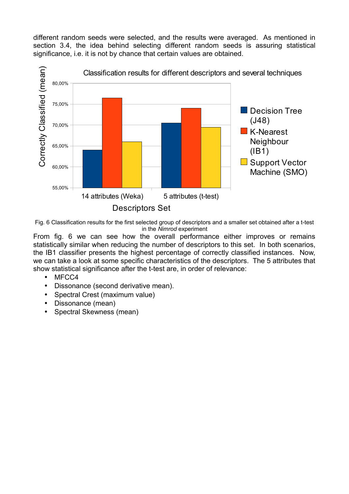different random seeds were selected, and the results were averaged. As mentioned in section 3.4, the idea behind selecting different random seeds is assuring statistical significance, i.e. it is not by chance that certain values are obtained.



Fig. 6 Classification results for the first selected group of descriptors and a smaller set obtained after a t-test in the *Nimrod* experiment

From fig. 6 we can see how the overall performance either improves or remains statistically similar when reducing the number of descriptors to this set. In both scenarios, the IB1 classifier presents the highest percentage of correctly classified instances. Now, we can take a look at some specific characteristics of the descriptors. The 5 attributes that show statistical significance after the t-test are, in order of relevance:

- MFCC4
- Dissonance (second derivative mean).
- Spectral Crest (maximum value)
- Dissonance (mean)
- Spectral Skewness (mean)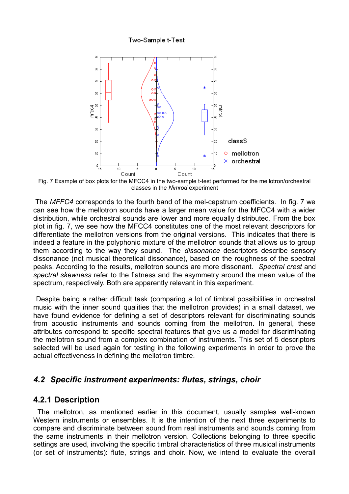#### Two-Sample t-Test



Fig. 7 Example of box plots for the MFCC4 in the two-sample t-test performed for the mellotron/orchestral classes in the *Nimrod* experiment

 The *MFFC4* corresponds to the fourth band of the mel-cepstrum coefficients. In fig. 7 we can see how the mellotron sounds have a larger mean value for the MFCC4 with a wider distribution, while orchestral sounds are lower and more equally distributed. From the box plot in fig. 7, we see how the MFCC4 constitutes one of the most relevant descriptors for differentiate the mellotron versions from the original versions. This indicates that there is indeed a feature in the polyphonic mixture of the mellotron sounds that allows us to group them according to the way they sound. The *dissonance* descriptors describe sensory dissonance (not musical theoretical dissonance), based on the roughness of the spectral peaks. According to the results, mellotron sounds are more dissonant. *Spectral crest* and *spectral skewness* refer to the flatness and the asymmetry around the mean value of the spectrum, respectively. Both are apparently relevant in this experiment.

 Despite being a rather difficult task (comparing a lot of timbral possibilities in orchestral music with the inner sound qualities that the mellotron provides) in a small dataset, we have found evidence for defining a set of descriptors relevant for discriminating sounds from acoustic instruments and sounds coming from the mellotron. In general, these attributes correspond to specific spectral features that give us a model for discriminating the mellotron sound from a complex combination of instruments. This set of 5 descriptors selected will be used again for testing in the following experiments in order to prove the actual effectiveness in defining the mellotron timbre.

#### <span id="page-24-1"></span>*4.2 Specific instrument experiments: flutes, strings, choir*

#### <span id="page-24-0"></span>**4.2.1 Description**

 The mellotron, as mentioned earlier in this document, usually samples well-known Western instruments or ensembles. It is the intention of the next three experiments to compare and discriminate between sound from real instruments and sounds coming from the same instruments in their mellotron version. Collections belonging to three specific settings are used, involving the specific timbral characteristics of three musical instruments (or set of instruments): flute, strings and choir. Now, we intend to evaluate the overall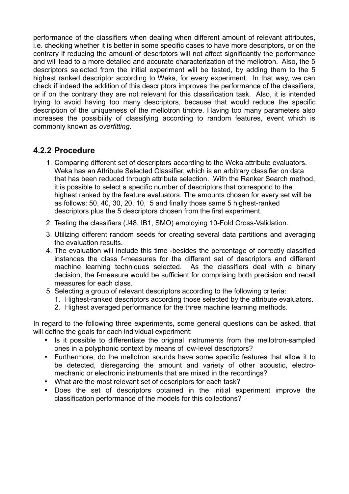performance of the classifiers when dealing when different amount of relevant attributes, i.e. checking whether it is better in some specific cases to have more descriptors, or on the contrary if reducing the amount of descriptors will not affect significantly the performance and will lead to a more detailed and accurate characterization of the mellotron. Also, the 5 descriptors selected from the initial experiment will be tested, by adding them to the 5 highest ranked descriptor according to Weka, for every experiment. In that way, we can check if indeed the addition of this descriptors improves the performance of the classifiers, or if on the contrary they are not relevant for this classification task. Also, it is intended trying to avoid having too many descriptors, because that would reduce the specific description of the uniqueness of the mellotron timbre. Having too many parameters also increases the possibility of classifying according to random features, event which is commonly known as *overfitting*.

## **4.2.2 Procedure**

- <span id="page-25-0"></span>1. Comparing different set of descriptors according to the Weka attribute evaluators. Weka has an Attribute Selected Classifier, which is an arbitrary classifier on data that has been reduced through attribute selection. With the Ranker Search method, it is possible to select a specific number of descriptors that correspond to the highest ranked by the feature evaluators. The amounts chosen for every set will be as follows: 50, 40, 30, 20, 10, 5 and finally those same 5 highest-ranked descriptors plus the 5 descriptors chosen from the first experiment.
- 2. Testing the classifiers (J48, IB1, SMO) employing 10-Fold Cross-Validation.
- 3. Utilizing different random seeds for creating several data partitions and averaging the evaluation results.
- 4. The evaluation will include this time -besides the percentage of correctly classified instances the class f-measures for the different set of descriptors and different machine learning techniques selected. As the classifiers deal with a binary decision, the f-measure would be sufficient for comprising both precision and recall measures for each class.
- 5. Selecting a group of relevant descriptors according to the following criteria:
	- 1. Highest-ranked descriptors according those selected by the attribute evaluators.
	- 2. Highest averaged performance for the three machine learning methods.

In regard to the following three experiments, some general questions can be asked, that will define the goals for each individual experiment:

- Is it possible to differentiate the original instruments from the mellotron-sampled ones in a polyphonic context by means of low-level descriptors?
- Furthermore, do the mellotron sounds have some specific features that allow it to be detected, disregarding the amount and variety of other acoustic, electromechanic or electronic instruments that are mixed in the recordings?
- What are the most relevant set of descriptors for each task?
- Does the set of descriptors obtained in the initial experiment improve the classification performance of the models for this collections?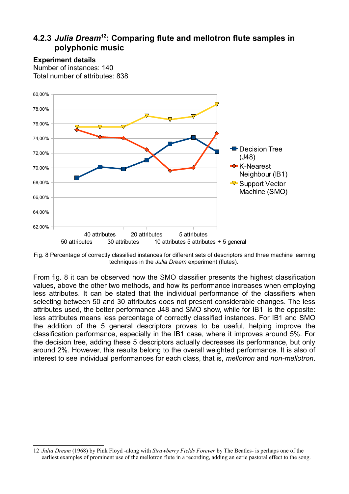## **4.2.3** *Julia Dream***[12](#page-26-1): Comparing flute and mellotron flute samples in polyphonic music**

![](_page_26_Figure_1.jpeg)

<span id="page-26-0"></span>

**Experiment details** Number of instances: 140

Fig. 8 Percentage of correctly classified instances for different sets of descriptors and three machine learning techniques in the *Julia Dream* experiment (flutes).

From fig. 8 it can be observed how the SMO classifier presents the highest classification values, above the other two methods, and how its performance increases when employing less attributes. It can be stated that the individual performance of the classifiers when selecting between 50 and 30 attributes does not present considerable changes. The less attributes used, the better performance J48 and SMO show, while for IB1 is the opposite: less attributes means less percentage of correctly classified instances. For IB1 and SMO the addition of the 5 general descriptors proves to be useful, helping improve the classification performance, especially in the IB1 case, where it improves around 5%. For the decision tree, adding these 5 descriptors actually decreases its performance, but only around 2%. However, this results belong to the overall weighted performance. It is also of interest to see individual performances for each class, that is, *mellotron* and *non-mellotron*.

<span id="page-26-1"></span><sup>12</sup> *Julia Dream* (1968) by Pink Floyd -along with *Strawberry Fields Forever* by The Beatles- is perhaps one of the earliest examples of prominent use of the mellotron flute in a recording, adding an eerie pastoral effect to the song.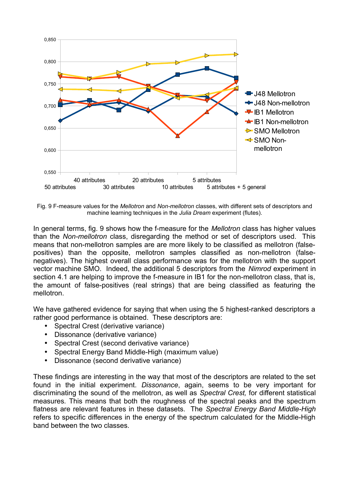![](_page_27_Figure_0.jpeg)

Fig. 9 F-measure values for the *Mellotron* and *Non-mellotron* classes, with different sets of descriptors and machine learning techniques in the *Julia Dream* experiment (flutes).

In general terms, fig. 9 shows how the f-measure for the *Mellotron* class has higher values than the *Non-mellotron* class, disregarding the method or set of descriptors used. This means that non-mellotron samples are are more likely to be classified as mellotron (falsepositives) than the opposite, mellotron samples classified as non-mellotron (falsenegatives). The highest overall class performance was for the mellotron with the support vector machine SMO. Indeed, the additional 5 descriptors from the *Nimrod* experiment in section 4.1 are helping to improve the f-measure in IB1 for the non-mellotron class, that is, the amount of false-positives (real strings) that are being classified as featuring the mellotron.

We have gathered evidence for saying that when using the 5 highest-ranked descriptors a rather good performance is obtained. These descriptors are:

- Spectral Crest (derivative variance)
- Dissonance (derivative variance)
- Spectral Crest (second derivative variance)
- Spectral Energy Band Middle-High (maximum value)
- Dissonance (second derivative variance)

These findings are interesting in the way that most of the descriptors are related to the set found in the initial experiment. *Dissonance*, again, seems to be very important for discriminating the sound of the mellotron, as well as *Spectral Crest,* for different statistical measures*.* This means that both the roughness of the spectral peaks and the spectrum flatness are relevant features in these datasets. The *Spectral Energy Band Middle-High* refers to specific differences in the energy of the spectrum calculated for the Middle-High band between the two classes.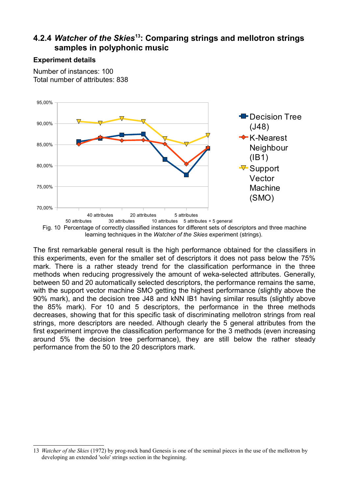## <span id="page-28-0"></span>**4.2.4** *Watcher of the Skies***[13](#page-28-1): Comparing strings and mellotron strings samples in polyphonic music**

#### **Experiment details**

Number of instances: 100 Total number of attributes: 838

![](_page_28_Figure_3.jpeg)

The first remarkable general result is the high performance obtained for the classifiers in this experiments, even for the smaller set of descriptors it does not pass below the 75% mark. There is a rather steady trend for the classification performance in the three methods when reducing progressively the amount of weka-selected attributes. Generally, between 50 and 20 automatically selected descriptors, the performance remains the same, with the support vector machine SMO getting the highest performance (slightly above the 90% mark), and the decision tree J48 and kNN IB1 having similar results (slightly above the 85% mark). For 10 and 5 descriptors, the performance in the three methods decreases, showing that for this specific task of discriminating mellotron strings from real strings, more descriptors are needed. Although clearly the 5 general attributes from the first experiment improve the classification performance for the 3 methods (even increasing around 5% the decision tree performance), they are still below the rather steady performance from the 50 to the 20 descriptors mark.

<span id="page-28-1"></span><sup>13</sup> *Watcher of the Skies* (1972) by prog-rock band Genesis is one of the seminal pieces in the use of the mellotron by developing an extended 'solo' strings section in the beginning.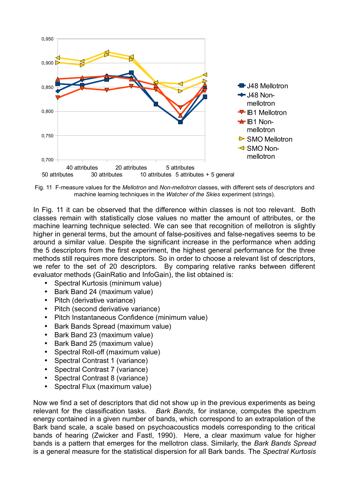![](_page_29_Figure_0.jpeg)

Fig. 11 F-measure values for the *Mellotron* and *Non-mellotron* classes, with different sets of descriptors and machine learning techniques in the *Watcher of the Skies* experiment (strings).

In Fig. 11 it can be observed that the difference within classes is not too relevant. Both classes remain with statistically close values no matter the amount of attributes, or the machine learning technique selected. We can see that recognition of mellotron is slightly higher in general terms, but the amount of false-positives and false-negatives seems to be around a similar value. Despite the significant increase in the performance when adding the 5 descriptors from the first experiment, the highest general performance for the three methods still requires more descriptors. So in order to choose a relevant list of descriptors, we refer to the set of 20 descriptors. By comparing relative ranks between different evaluator methods (GainRatio and InfoGain), the list obtained is:

- Spectral Kurtosis (minimum value)
- Bark Band 24 (maximum value)
- Pitch (derivative variance)
- Pitch (second derivative variance)
- Pitch Instantaneous Confidence (minimum value)
- Bark Bands Spread (maximum value)
- Bark Band 23 (maximum value)
- Bark Band 25 (maximum value)
- Spectral Roll-off (maximum value)
- Spectral Contrast 1 (variance)
- Spectral Contrast 7 (variance)
- Spectral Contrast 8 (variance)
- Spectral Flux (maximum value)

Now we find a set of descriptors that did not show up in the previous experiments as being relevant for the classification tasks. *Bark Bands*, for instance, computes the spectrum energy contained in a given number of bands, which correspond to an extrapolation of the Bark band scale, a scale based on psychoacoustics models corresponding to the critical bands of hearing (Zwicker and Fastl, 1990). Here, a clear maximum value for higher bands is a pattern that emerges for the mellotron class. Similarly, the *Bark Bands Spread* is a general measure for the statistical dispersion for all Bark bands. The *Spectral Kurtosis*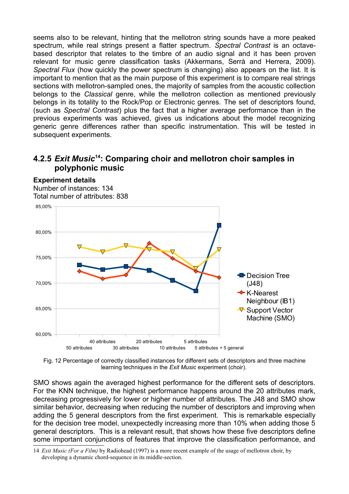seems also to be relevant, hinting that the mellotron string sounds have a more peaked spectrum, while real strings present a flatter spectrum. *Spectral Contrast* is an octavebased descriptor that relates to the timbre of an audio signal and it has been proven relevant for music genre classification tasks (Akkermans, Serrà and Herrera, 2009). *Spectral Flux* (how quickly the power spectrum is changing) also appears on the list. It is important to mention that as the main purpose of this experiment is to compare real strings sections with mellotron-sampled ones, the majority of samples from the acoustic collection belongs to the *Classical* genre, while the mellotron collection as mentioned previously belongs in its totality to the Rock/Pop or Electronic genres. The set of descriptors found, (such as *Spectral Contrast*) plus the fact that a higher average performance than in the previous experiments was achieved, gives us indications about the model recognizing generic genre differences rather than specific instrumentation. This will be tested in subsequent experiments.

### <span id="page-30-0"></span>**4.2.5** *Exit Music***[14](#page-30-1): Comparing choir and mellotron choir samples in polyphonic music**

**Experiment details**

![](_page_30_Figure_2.jpeg)

Fig. 12 Percentage of correctly classified instances for different sets of descriptors and three machine learning techniques in the *Exit Music* experiment (choir).

SMO shows again the averaged highest performance for the different sets of descriptors. For the KNN technique, the highest performance happens around the 20 attributes mark, decreasing progressively for lower or higher number of attributes. The J48 and SMO show similar behavior, decreasing when reducing the number of descriptors and improving when adding the 5 general descriptors from the first experiment. This is remarkable especially for the decision tree model, unexpectedly increasing more than 10% when adding those 5 general descriptors. This is a relevant result, that shows how these five descriptors define some important conjunctions of features that improve the classification performance, and

<span id="page-30-1"></span><sup>14</sup> *Exit Music (For a Film)* by Radiohead (1997) is a more recent example of the usage of mellotron choir, by developing a dynamic chord-sequence in its middle-section.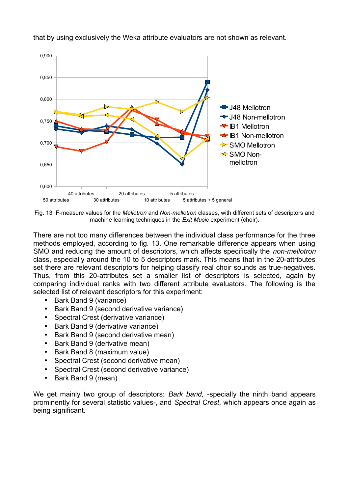![](_page_31_Figure_0.jpeg)

that by using exclusively the Weka attribute evaluators are not shown as relevant.

Fig. 13 F-measure values for the *Mellotron* and *Non-mellotron* classes, with different sets of descriptors and machine learning techniques in the *Exit Music* experiment (choir).

There are not too many differences between the individual class performance for the three methods employed, according to fig. 13. One remarkable difference appears when using SMO and reducing the amount of descriptors, which affects specifically the *non-mellotron* class, especially around the 10 to 5 descriptors mark. This means that in the 20-attributes set there are relevant descriptors for helping classify real choir sounds as true-negatives. Thus, from this 20-attributes set a smaller list of descriptors is selected, again by comparing individual ranks with two different attribute evaluators. The following is the selected list of relevant descriptors for this experiment:

- Bark Band 9 (variance)
- Bark Band 9 (second derivative variance)
- Spectral Crest (derivative variance)
- Bark Band 9 (derivative variance)
- Bark Band 9 (second derivative mean)
- Bark Band 9 (derivative mean)
- Bark Band 8 (maximum value)
- Spectral Crest (second derivative mean)
- Spectral Crest (second derivative variance)
- Bark Band 9 (mean)

We get mainly two group of descriptors: *Bark band, -*specially the ninth band appears prominently for several statistic values-, and *Spectral Crest*, which appears once again as being significant.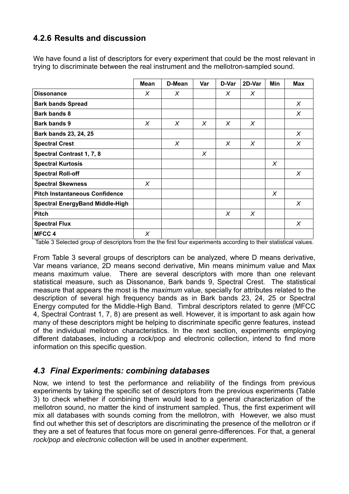## <span id="page-32-1"></span>**4.2.6 Results and discussion**

We have found a list of descriptors for every experiment that could be the most relevant in trying to discriminate between the real instrument and the mellotron-sampled sound.

|                                        | Mean     | D-Mean | Var | D-Var    | 2D-Var   | Min | Max      |
|----------------------------------------|----------|--------|-----|----------|----------|-----|----------|
| <b>Dissonance</b>                      | X        | X      |     | X        | X        |     |          |
| <b>Bark bands Spread</b>               |          |        |     |          |          |     | $\chi$   |
| <b>Bark bands 8</b>                    |          |        |     |          |          |     | $\times$ |
| <b>Bark bands 9</b>                    | X        | X      | X   | $\times$ | $\times$ |     |          |
| Bark bands 23, 24, 25                  |          |        |     |          |          |     | $\chi$   |
| <b>Spectral Crest</b>                  |          | $\chi$ |     | X        | X        |     | X        |
| <b>Spectral Contrast 1, 7, 8</b>       |          |        | X   |          |          |     |          |
| <b>Spectral Kurtosis</b>               |          |        |     |          |          | X   |          |
| <b>Spectral Roll-off</b>               |          |        |     |          |          |     | X        |
| <b>Spectral Skewness</b>               | $\times$ |        |     |          |          |     |          |
| <b>Pitch Instantaneous Confidence</b>  |          |        |     |          |          | X   |          |
| <b>Spectral EnergyBand Middle-High</b> |          |        |     |          |          |     | X        |
| <b>Pitch</b>                           |          |        |     | X        | $\times$ |     |          |
| <b>Spectral Flux</b>                   |          |        |     |          |          |     | X        |
| <b>MFCC4</b>                           | X        |        |     |          |          |     |          |

Table 3 Selected group of descriptors from the the first four experiments according to their statistical values.

From Table 3 several groups of descriptors can be analyzed, where D means derivative, Var means variance, 2D means second derivative, Min means minimum value and Max means maximum value. There are several descriptors with more than one relevant statistical measure, such as Dissonance, Bark bands 9, Spectral Crest. The statistical measure that appears the most is the *maximum* value, specially for attributes related to the description of several high frequency bands as in Bark bands 23, 24, 25 or Spectral Energy computed for the Middle-High Band. Timbral descriptors related to genre (MFCC 4, Spectral Contrast 1, 7, 8) are present as well. However, it is important to ask again how many of these descriptors might be helping to discriminate specific genre features, instead of the individual mellotron characteristics. In the next section, experiments employing different databases, including a rock/pop and electronic collection, intend to find more information on this specific question.

## <span id="page-32-0"></span>*4.3 Final Experiments: combining databases*

Now, we intend to test the performance and reliability of the findings from previous experiments by taking the specific set of descriptors from the previous experiments (Table 3) to check whether if combining them would lead to a general characterization of the mellotron sound, no matter the kind of instrument sampled. Thus, the first experiment will mix all databases with sounds coming from the mellotron, with However, we also must find out whether this set of descriptors are discriminating the presence of the mellotron or if they are a set of features that focus more on general genre-differences. For that, a general *rock/pop* and *electronic* collection will be used in another experiment.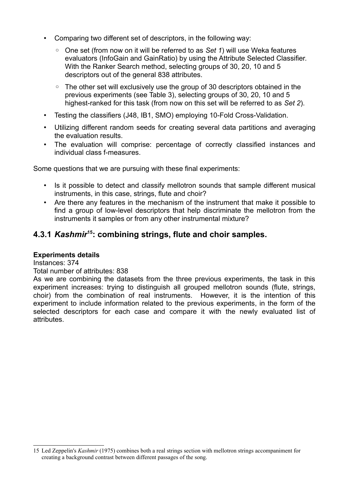- Comparing two different set of descriptors, in the following way:
	- One set (from now on it will be referred to as *Set 1*) will use Weka features evaluators (InfoGain and GainRatio) by using the Attribute Selected Classifier. With the Ranker Search method, selecting groups of 30, 20, 10 and 5 descriptors out of the general 838 attributes.
	- The other set will exclusively use the group of 30 descriptors obtained in the previous experiments (see Table 3), selecting groups of 30, 20, 10 and 5 highest-ranked for this task (from now on this set will be referred to as *Set 2*).
- Testing the classifiers (J48, IB1, SMO) employing 10-Fold Cross-Validation.
- Utilizing different random seeds for creating several data partitions and averaging the evaluation results.
- The evaluation will comprise: percentage of correctly classified instances and individual class f-measures.

Some questions that we are pursuing with these final experiments:

- Is it possible to detect and classify mellotron sounds that sample different musical instruments, in this case, strings, flute and choir?
- Are there any features in the mechanism of the instrument that make it possible to find a group of low-level descriptors that help discriminate the mellotron from the instruments it samples or from any other instrumental mixture?

## <span id="page-33-0"></span>**4.3.1** *Kashmir***[15](#page-33-1): combining strings, flute and choir samples.**

#### **Experiments details**

Instances: 374

#### Total number of attributes: 838

As we are combining the datasets from the three previous experiments, the task in this experiment increases: trying to distinguish all grouped mellotron sounds (flute, strings, choir) from the combination of real instruments. However, it is the intention of this experiment to include information related to the previous experiments, in the form of the selected descriptors for each case and compare it with the newly evaluated list of attributes.

<span id="page-33-1"></span><sup>15</sup> Led Zeppelin's *Kashmir* (1975) combines both a real strings section with mellotron strings accompaniment for creating a background contrast between different passages of the song.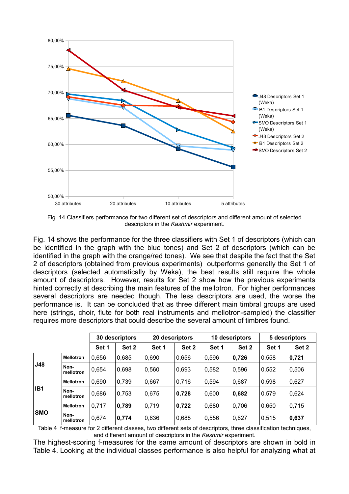![](_page_34_Figure_0.jpeg)

Fig. 14 Classifiers performance for two different set of descriptors and different amount of selected descriptors in the *Kashmir* experiment.

Fig. 14 shows the performance for the three classifiers with Set 1 of descriptors (which can be identified in the graph with the blue tones) and Set 2 of descriptors (which can be identified in the graph with the orange/red tones). We see that despite the fact that the Set 2 of descriptors (obtained from previous experiments) outperforms generally the Set 1 of descriptors (selected automatically by Weka), the best results still require the whole amount of descriptors. However, results for Set 2 show how the previous experiments hinted correctly at describing the main features of the mellotron. For higher performances several descriptors are needed though. The less descriptors are used, the worse the performance is. It can be concluded that as three different main timbral groups are used here (strings, choir, flute for both real instruments and mellotron-sampled) the classifier requires more descriptors that could describe the several amount of timbres found.

|                 |                   | 30 descriptors |       |       | 20 descriptors | 10 descriptors |       | 5 descriptors |       |
|-----------------|-------------------|----------------|-------|-------|----------------|----------------|-------|---------------|-------|
|                 |                   | Set 1          | Set 2 | Set 1 | Set 2          | Set 1          | Set 2 | Set 1         | Set 2 |
|                 | <b>Mellotron</b>  | 0,656          | 0,685 | 0,690 | 0,656          | 0,596          | 0,726 | 0,558         | 0,721 |
| <b>J48</b>      | Non-<br>mellotron | 0,654          | 0,698 | 0,560 | 0,693          | 0,582          | 0,596 | 0,552         | 0,506 |
|                 | <b>Mellotron</b>  | 0,690          | 0,739 | 0,667 | 0,716          | 0,594          | 0,687 | 0,598         | 0,627 |
| IB <sub>1</sub> | Non-<br>mellotron | 0,686          | 0,753 | 0,675 | 0,728          | 0,600          | 0,682 | 0,579         | 0,624 |
|                 | <b>Mellotron</b>  | 0,717          | 0,789 | 0,719 | 0,722          | 0,680          | 0,706 | 0,650         | 0,715 |
| <b>SMO</b>      | Non-<br>mellotron | 0,674          | 0,774 | 0,636 | 0,688          | 0,556          | 0,627 | 0,515         | 0,637 |

Table 4 f-measure for 2 different classes, two different sets of descriptors, three classification techniques, and different amount of descriptors in the *Kashmir* experiment.

The highest-scoring f-measures for the same amount of descriptors are shown in bold in Table 4. Looking at the individual classes performance is also helpful for analyzing what at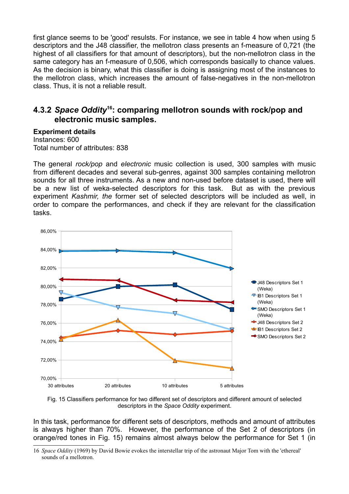first glance seems to be 'good' resulsts. For instance, we see in table 4 how when using 5 descriptors and the J48 classifier, the mellotron class presents an f-measure of 0,721 (the highest of all classifiers for that amount of descriptors), but the non-mellotron class in the same category has an f-measure of 0,506, which corresponds basically to chance values. As the decision is binary, what this classifier is doing is assigning most of the instances to the mellotron class, which increases the amount of false-negatives in the non-mellotron class. Thus, it is not a reliable result.

## <span id="page-35-0"></span>**4.3.2** *Space Oddity***[16](#page-35-1): comparing mellotron sounds with rock/pop and electronic music samples.**

**Experiment details** Instances: 600 Total number of attributes: 838

The general *rock/pop* and *electronic* music collection is used, 300 samples with music from different decades and several sub-genres, against 300 samples containing mellotron sounds for all three instruments. As a new and non-used before dataset is used, there will be a new list of weka-selected descriptors for this task. But as with the previous experiment *Kashmir, the* former set of selected descriptors will be included as well, in order to compare the performances, and check if they are relevant for the classification tasks.

![](_page_35_Figure_4.jpeg)

![](_page_35_Figure_5.jpeg)

In this task, performance for different sets of descriptors, methods and amount of attributes is always higher than 70%. However, the performance of the Set 2 of descriptors (in orange/red tones in Fig. 15) remains almost always below the performance for Set 1 (in

<span id="page-35-1"></span><sup>16</sup> *Space Oddity* (1969) by David Bowie evokes the interstellar trip of the astronaut Major Tom with the 'ethereal' sounds of a mellotron.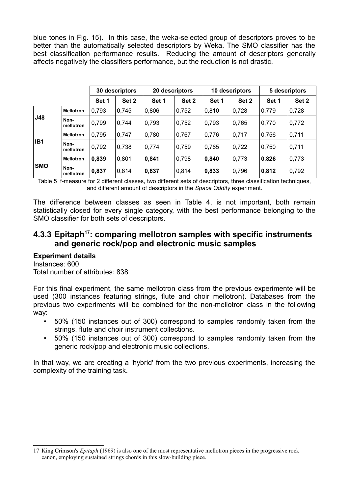blue tones in Fig. 15). In this case, the weka-selected group of descriptors proves to be better than the automatically selected descriptors by Weka. The SMO classifier has the best classification performance results. Reducing the amount of descriptors generally affects negatively the classifiers performance, but the reduction is not drastic.

|                 |                   | 30 descriptors |       |       | 20 descriptors | 10 descriptors |       | 5 descriptors |       |
|-----------------|-------------------|----------------|-------|-------|----------------|----------------|-------|---------------|-------|
|                 |                   | Set 1          | Set 2 | Set 1 | Set 2          | Set 1          | Set 2 | Set 1         | Set 2 |
|                 | <b>Mellotron</b>  | 0,793          | 0,745 | 0,806 | 0,752          | 0,810          | 0,728 | 0,779         | 0,728 |
| <b>J48</b>      | Non-<br>mellotron | 0,799          | 0.744 | 0.793 | 0,752          | 0.793          | 0,765 | 0,770         | 0,772 |
|                 | <b>Mellotron</b>  | 0,795          | 0,747 | 0,780 | 0,767          | 0,776          | 0,717 | 0,756         | 0,711 |
| IB <sub>1</sub> | Non-<br>mellotron | 0,792          | 0,738 | 0,774 | 0,759          | 0,765          | 0,722 | 0,750         | 0,711 |
|                 | <b>Mellotron</b>  | 0,839          | 0,801 | 0,841 | 0,798          | 0,840          | 0,773 | 0,826         | 0,773 |
| <b>SMO</b>      | Non-<br>mellotron | 0,837          | 0,814 | 0,837 | 0,814          | 0,833          | 0,796 | 0,812         | 0,792 |

Table 5 f-measure for 2 different classes, two different sets of descriptors, three classification techniques, and different amount of descriptors in the *Space Oddity* experiment.

The difference between classes as seen in Table 4, is not important, both remain statistically closed for every single category, with the best performance belonging to the SMO classifier for both sets of descriptors.

## <span id="page-36-0"></span>**4.3.3 Epitaph[17](#page-36-1): comparing mellotron samples with specific instruments and generic rock/pop and electronic music samples**

#### **Experiment details**

Instances: 600 Total number of attributes: 838

For this final experiment, the same mellotron class from the previous experimente will be used (300 instances featuring strings, flute and choir mellotron). Databases from the previous two experiments will be combined for the non-mellotron class in the following way:

- 50% (150 instances out of 300) correspond to samples randomly taken from the strings, flute and choir instrument collections.
- 50% (150 instances out of 300) correspond to samples randomly taken from the generic rock/pop and electronic music collections.

In that way, we are creating a 'hybrid' from the two previous experiments, increasing the complexity of the training task.

<span id="page-36-1"></span><sup>17</sup> King Crimson's *Epitaph* (1969) is also one of the most representative mellotron pieces in the progressive rock canon, employing sustained strings chords in this slow-building piece.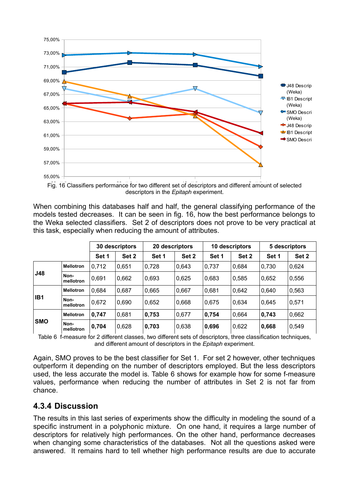![](_page_37_Figure_0.jpeg)

Fig. 16 Classifiers performance for two different set of descriptors and different amount of selected descriptors in the *Epitaph* experiment.

When combining this databases half and half, the general classifying performance of the models tested decreases. It can be seen in fig. 16, how the best performance belongs to the Weka selected classifiers. Set 2 of descriptors does not prove to be very practical at this task, especially when reducing the amount of attributes.

|                 |                   | 30 descriptors |       | 20 descriptors |       | 10 descriptors |       | 5 descriptors |       |
|-----------------|-------------------|----------------|-------|----------------|-------|----------------|-------|---------------|-------|
|                 |                   | Set 1          | Set 2 | Set 1          | Set 2 | Set 1          | Set 2 | Set 1         | Set 2 |
|                 | <b>Mellotron</b>  | 0,712          | 0,651 | 0,728          | 0,643 | 0,737          | 0,684 | 0,730         | 0,624 |
| <b>J48</b>      | Non-<br>mellotron | 0,691          | 0,662 | 0,693          | 0.625 | 0.683          | 0,585 | 0,652         | 0,556 |
|                 | <b>Mellotron</b>  | 0,684          | 0,687 | 0,665          | 0,667 | 0,681          | 0,642 | 0,640         | 0,563 |
| IB <sub>1</sub> | Non-<br>mellotron | 0,672          | 0,690 | 0,652          | 0,668 | 0,675          | 0,634 | 0.645         | 0,571 |
|                 | <b>Mellotron</b>  | 0,747          | 0,681 | 0,753          | 0,677 | 0,754          | 0,664 | 0,743         | 0,662 |
| <b>SMO</b>      | Non-<br>mellotron | 0,704          | 0,628 | 0,703          | 0,638 | 0,696          | 0,622 | 0,668         | 0,549 |

Table 6 f-measure for 2 different classes, two different sets of descriptors, three classification techniques, and different amount of descriptors in the *Epitaph* experiment.

Again, SMO proves to be the best classifier for Set 1. For set 2 however, other techniques outperform it depending on the number of descriptors employed. But the less descriptors used, the less accurate the model is. Table 6 shows for example how for some f-measure values, performance when reducing the number of attributes in Set 2 is not far from chance.

## <span id="page-37-0"></span>**4.3.4 Discussion**

The results in this last series of experiments show the difficulty in modeling the sound of a specific instrument in a polyphonic mixture. On one hand, it requires a large number of descriptors for relatively high performances. On the other hand, performance decreases when changing some characteristics of the databases. Not all the questions asked were answered. It remains hard to tell whether high performance results are due to accurate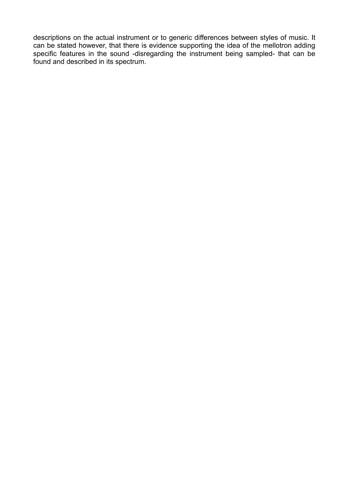descriptions on the actual instrument or to generic differences between styles of music. It can be stated however, that there is evidence supporting the idea of the mellotron adding specific features in the sound -disregarding the instrument being sampled- that can be found and described in its spectrum.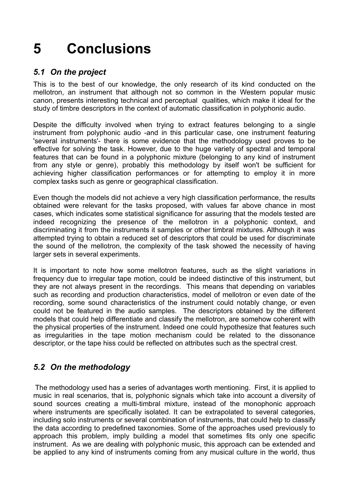# <span id="page-39-2"></span>**5 Conclusions**

## <span id="page-39-1"></span>*5.1 On the project*

This is to the best of our knowledge, the only research of its kind conducted on the mellotron, an instrument that although not so common in the Western popular music canon, presents interesting technical and perceptual qualities, which make it ideal for the study of timbre descriptors in the context of automatic classification in polyphonic audio.

Despite the difficulty involved when trying to extract features belonging to a single instrument from polyphonic audio -and in this particular case, one instrument featuring 'several instruments'- there is some evidence that the methodology used proves to be effective for solving the task. However, due to the huge variety of spectral and temporal features that can be found in a polyphonic mixture (belonging to any kind of instrument from any style or genre), probably this methodology by itself won't be sufficient for achieving higher classification performances or for attempting to employ it in more complex tasks such as genre or geographical classification.

Even though the models did not achieve a very high classification performance, the results obtained were relevant for the tasks proposed, with values far above chance in most cases, which indicates some statistical significance for assuring that the models tested are indeed recognizing the presence of the mellotron in a polyphonic context, and discriminating it from the instruments it samples or other timbral mixtures. Although it was attempted trying to obtain a reduced set of descriptors that could be used for discriminate the sound of the mellotron, the complexity of the task showed the necessity of having larger sets in several experiments.

It is important to note how some mellotron features, such as the slight variations in frequency due to irregular tape motion, could be indeed distinctive of this instrument, but they are not always present in the recordings. This means that depending on variables such as recording and production characteristics, model of mellotron or even date of the recording, some sound characteristics of the instrument could notably change, or even could not be featured in the audio samples. The descriptors obtained by the different models that could help differentiate and classify the mellotron, are somehow coherent with the physical properties of the instrument. Indeed one could hypothesize that features such as irregularities in the tape motion mechanism could be related to the dissonance descriptor, or the tape hiss could be reflected on attributes such as the spectral crest.

## <span id="page-39-0"></span>*5.2 On the methodology*

 The methodology used has a series of advantages worth mentioning. First, it is applied to music in real scenarios, that is, polyphonic signals which take into account a diversity of sound sources creating a multi-timbral mixture, instead of the monophonic approach where instruments are specifically isolated. It can be extrapolated to several categories, including solo instruments or several combination of instruments, that could help to classify the data according to predefined taxonomies. Some of the approaches used previously to approach this problem, imply building a model that sometimes fits only one specific instrument. As we are dealing with polyphonic music, this approach can be extended and be applied to any kind of instruments coming from any musical culture in the world, thus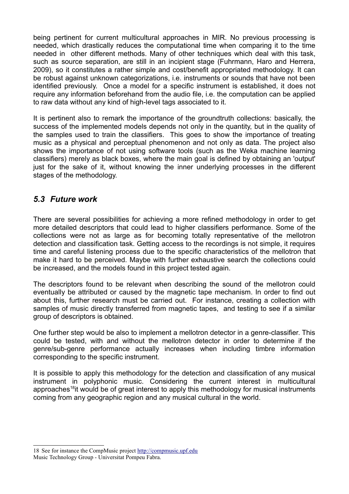being pertinent for current multicultural approaches in MIR. No previous processing is needed, which drastically reduces the computational time when comparing it to the time needed in other different methods. Many of other techniques which deal with this task, such as source separation, are still in an incipient stage (Fuhrmann, Haro and Herrera, 2009), so it constitutes a rather simple and cost/benefit appropriated methodology. It can be robust against unknown categorizations, i.e. instruments or sounds that have not been identified previously. Once a model for a specific instrument is established, it does not require any information beforehand from the audio file, i.e. the computation can be applied to raw data without any kind of high-level tags associated to it.

It is pertinent also to remark the importance of the groundtruth collections: basically, the success of the implemented models depends not only in the quantity, but in the quality of the samples used to train the classifiers. This goes to show the importance of treating music as a physical and perceptual phenomenon and not only as data. The project also shows the importance of not using software tools (such as the Weka machine learning classifiers) merely as black boxes, where the main goal is defined by obtaining an 'output' just for the sake of it, without knowing the inner underlying processes in the different stages of the methodology.

## <span id="page-40-0"></span>*5.3 Future work*

There are several possibilities for achieving a more refined methodology in order to get more detailed descriptors that could lead to higher classifiers performance. Some of the collections were not as large as for becoming totally representative of the mellotron detection and classification task. Getting access to the recordings is not simple, it requires time and careful listening process due to the specific characteristics of the mellotron that make it hard to be perceived. Maybe with further exhaustive search the collections could be increased, and the models found in this project tested again.

The descriptors found to be relevant when describing the sound of the mellotron could eventually be attributed or caused by the magnetic tape mechanism. In order to find out about this, further research must be carried out. For instance, creating a collection with samples of music directly transferred from magnetic tapes, and testing to see if a similar group of descriptors is obtained.

One further step would be also to implement a mellotron detector in a genre-classifier. This could be tested, with and without the mellotron detector in order to determine if the genre/sub-genre performance actually increases when including timbre information corresponding to the specific instrument.

It is possible to apply this methodology for the detection and classification of any musical instrument in polyphonic music. Considering the current interest in multicultural approaches<sup>[18](#page-40-1)</sup> it would be of great interest to apply this methodology for musical instruments coming from any geographic region and any musical cultural in the world.

<span id="page-40-1"></span><sup>18</sup> See for instance the CompMusic project [http://compmusic.upf.edu](http://compmusic.upf.edu/)

Music Technology Group - Universitat Pompeu Fabra.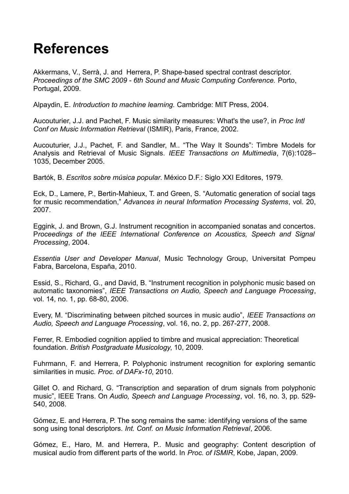## **References**

Akkermans, V., Serrà, J. and Herrera, P. Shape-based spectral contrast descriptor. *Proceedings of the SMC 2009 - 6th Sound and Music Computing Conference.* Porto, Portugal, 2009.

Alpaydin, E. *Introduction to machine learning.* Cambridge: MIT Press, 2004.

Aucouturier, J.J. and Pachet, F. Music similarity measures: What's the use?, in *Proc Intl Conf on Music Information Retrieval* (ISMIR), Paris, France, 2002.

Aucouturier, J.J., Pachet, F. and Sandler, M.. "The Way It Sounds": Timbre Models for Analysis and Retrieval of Music Signals. *IEEE Transactions on Multimedia*, 7(6):1028– 1035, December 2005.

Bartók, B. *Escritos sobre música popular*. México D.F.: Siglo XXI Editores, 1979.

Eck, D., Lamere, P., Bertin-Mahieux, T. and Green, S. "Automatic generation of social tags for music recommendation," *Advances in neural Information Processing Systems*, vol. 20, 2007.

Eggink, J. and Brown, G.J. Instrument recognition in accompanied sonatas and concertos. P*roceedings of the IEEE International Conference on Acoustics, Speech and Signal Processing*, 2004.

*Essentia User and Developer Manual*, Music Technology Group, Universitat Pompeu Fabra, Barcelona, España, 2010.

Essid, S., Richard, G., and David, B. "Instrument recognition in polyphonic music based on automatic taxonomies", *IEEE Transactions on Audio, Speech and Language Processing*, vol. 14, no. 1, pp. 68-80, 2006.

Every, M. "Discriminating between pitched sources in music audio", *IEEE Transactions on Audio, Speech and Language Processing*, vol. 16, no. 2, pp. 267-277, 2008.

Ferrer, R. Embodied cognition applied to timbre and musical appreciation: Theoretical foundation. *British Postgraduate Musicology*, 10, 2009.

Fuhrmann, F. and Herrera, P. Polyphonic instrument recognition for exploring semantic similarities in music. *Proc. of DAFx-10*, 2010.

Gillet O. and Richard, G. "Transcription and separation of drum signals from polyphonic music", IEEE Trans. On *Audio, Speech and Language Processing*, vol. 16, no. 3, pp. 529- 540, 2008.

Gómez, E. and Herrera, P. The song remains the same: identifying versions of the same song using tonal descriptors. *Int. Conf. on Music Information Retrieval*, 2006.

Gómez, E., Haro, M. and Herrera, P.. Music and geography: Content description of musical audio from different parts of the world. In *Proc. of ISMIR*, Kobe, Japan, 2009.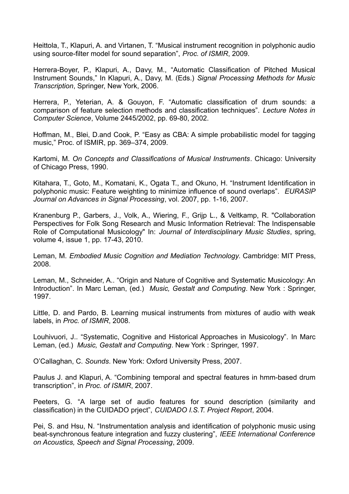Heittola, T., Klapuri, A. and Virtanen, T. "Musical instrument recognition in polyphonic audio using source-filter model for sound separation", *Proc. of ISMIR*, 2009.

Herrera-Boyer, P., Klapuri, A., Davy, M., "Automatic Classification of Pitched Musical Instrument Sounds," In Klapuri, A., Davy, M. (Eds.) *Signal Processing Methods for Music Transcription*, Springer, New York, 2006.

Herrera, P., Yeterian, A. & Gouyon, F. "Automatic classification of drum sounds: a comparison of feature selection methods and classification techniques". *Lecture Notes in Computer Science*, Volume 2445/2002, pp. 69-80, 2002.

Hoffman, M., Blei, D.and Cook, P. "Easy as CBA: A simple probabilistic model for tagging music," Proc. of ISMIR, pp. 369–374, 2009.

Kartomi, M. *On Concepts and Classifications of Musical Instruments*. Chicago: University of Chicago Press, 1990.

Kitahara, T., Goto, M., Komatani, K., Ogata T., and Okuno, H. "Instrument Identification in polyphonic music: Feature weighting to minimize influence of sound overlaps". *EURASIP Journal on Advances in Signal Processing*, vol. 2007, pp. 1-16, 2007.

Kranenburg P., Garbers, J., Volk, A., Wiering, F., Grijp L., & Veltkamp, R. "Collaboration Perspectives for Folk Song Research and Music Information Retrieval: The Indispensable Role of Computational Musicology" In: *Journal of Interdisciplinary Music Studies*, spring, volume 4, issue 1, pp. 17-43, 2010.

Leman, M. *Embodied Music Cognition and Mediation Technology*. Cambridge: MIT Press, 2008.

Leman, M., Schneider, A.. "Origin and Nature of Cognitive and Systematic Musicology: An Introduction". In Marc Leman, (ed.) *Music, Gestalt and Computing*. New York : Springer, 1997.

Little, D. and Pardo, B. Learning musical instruments from mixtures of audio with weak labels, in *Proc. of ISMIR*, 2008.

Louhivuori, J.. "Systematic, Cognitive and Historical Approaches in Musicology". In Marc Leman, (ed.) *Music, Gestalt and Computing*. New York : Springer, 1997.

O'Callaghan, C. *Sounds*. New York: Oxford University Press, 2007.

Paulus J. and Klapuri, A. "Combining temporal and spectral features in hmm-based drum transcription", in *Proc. of ISMIR*, 2007.

Peeters, G. "A large set of audio features for sound description (similarity and classification) in the CUIDADO prject", *CUIDADO I.S.T. Project Report*, 2004.

Pei, S. and Hsu, N. "Instrumentation analysis and identification of polyphonic music using beat-synchronous feature integration and fuzzy clustering", *IEEE International Conference on Acoustics, Speech and Signal Processing*, 2009.